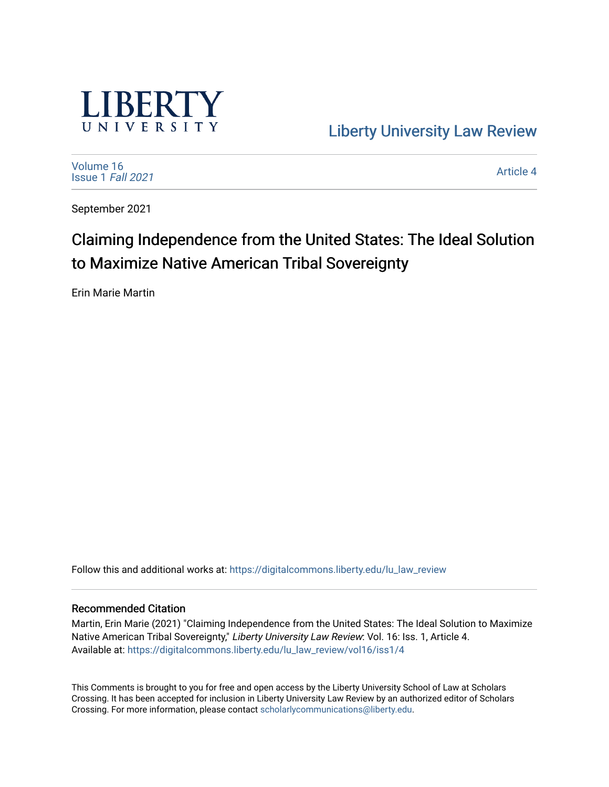

[Liberty University Law Review](https://digitalcommons.liberty.edu/lu_law_review) 

[Volume 16](https://digitalcommons.liberty.edu/lu_law_review/vol16) [Issue 1](https://digitalcommons.liberty.edu/lu_law_review/vol16/iss1) Fall 2021

[Article 4](https://digitalcommons.liberty.edu/lu_law_review/vol16/iss1/4) 

September 2021

# Claiming Independence from the United States: The Ideal Solution to Maximize Native American Tribal Sovereignty

Erin Marie Martin

Follow this and additional works at: [https://digitalcommons.liberty.edu/lu\\_law\\_review](https://digitalcommons.liberty.edu/lu_law_review?utm_source=digitalcommons.liberty.edu%2Flu_law_review%2Fvol16%2Fiss1%2F4&utm_medium=PDF&utm_campaign=PDFCoverPages) 

## Recommended Citation

Martin, Erin Marie (2021) "Claiming Independence from the United States: The Ideal Solution to Maximize Native American Tribal Sovereignty," Liberty University Law Review: Vol. 16: Iss. 1, Article 4. Available at: [https://digitalcommons.liberty.edu/lu\\_law\\_review/vol16/iss1/4](https://digitalcommons.liberty.edu/lu_law_review/vol16/iss1/4?utm_source=digitalcommons.liberty.edu%2Flu_law_review%2Fvol16%2Fiss1%2F4&utm_medium=PDF&utm_campaign=PDFCoverPages) 

This Comments is brought to you for free and open access by the Liberty University School of Law at Scholars Crossing. It has been accepted for inclusion in Liberty University Law Review by an authorized editor of Scholars Crossing. For more information, please contact [scholarlycommunications@liberty.edu](mailto:scholarlycommunications@liberty.edu).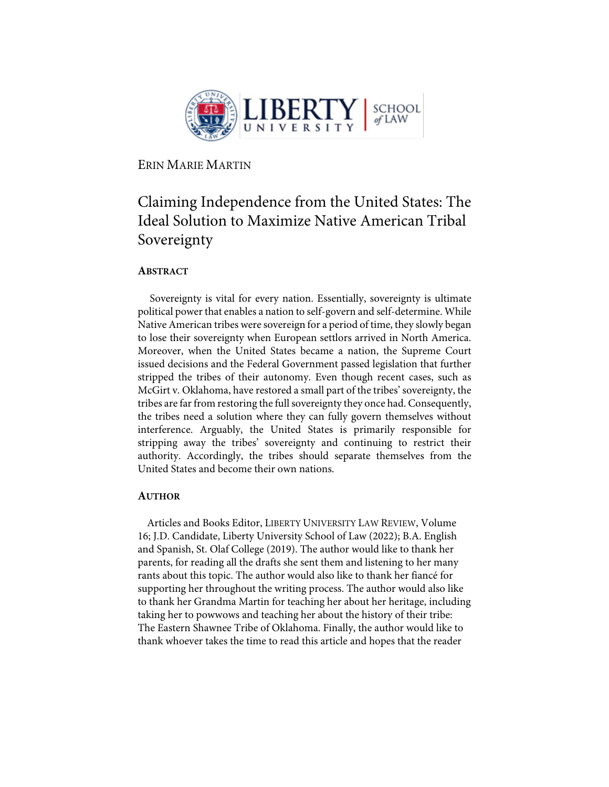

ERIN MARIE MARTIN

## Claiming Independence from the United States: The Ideal Solution to Maximize Native American Tribal Sovereignty

## **ABSTRACT**

Sovereignty is vital for every nation. Essentially, sovereignty is ultimate political power that enables a nation to self-govern and self-determine. While Native American tribes were sovereign for a period of time, they slowly began to lose their sovereignty when European settlors arrived in North America. Moreover, when the United States became a nation, the Supreme Court issued decisions and the Federal Government passed legislation that further stripped the tribes of their autonomy. Even though recent cases, such as McGirt v. Oklahoma, have restored a small part of the tribes' sovereignty, the tribes are far from restoring the full sovereignty they once had. Consequently, the tribes need a solution where they can fully govern themselves without interference. Arguably, the United States is primarily responsible for stripping away the tribes' sovereignty and continuing to restrict their authority. Accordingly, the tribes should separate themselves from the United States and become their own nations.

## **AUTHOR**

Articles and Books Editor, LIBERTY UNIVERSITY LAW REVIEW, Volume 16; J.D. Candidate, Liberty University School of Law (2022); B.A. English and Spanish, St. Olaf College (2019). The author would like to thank her parents, for reading all the drafts she sent them and listening to her many rants about this topic. The author would also like to thank her fiancé for supporting her throughout the writing process. The author would also like to thank her Grandma Martin for teaching her about her heritage, including taking her to powwows and teaching her about the history of their tribe: The Eastern Shawnee Tribe of Oklahoma. Finally, the author would like to thank whoever takes the time to read this article and hopes that the reader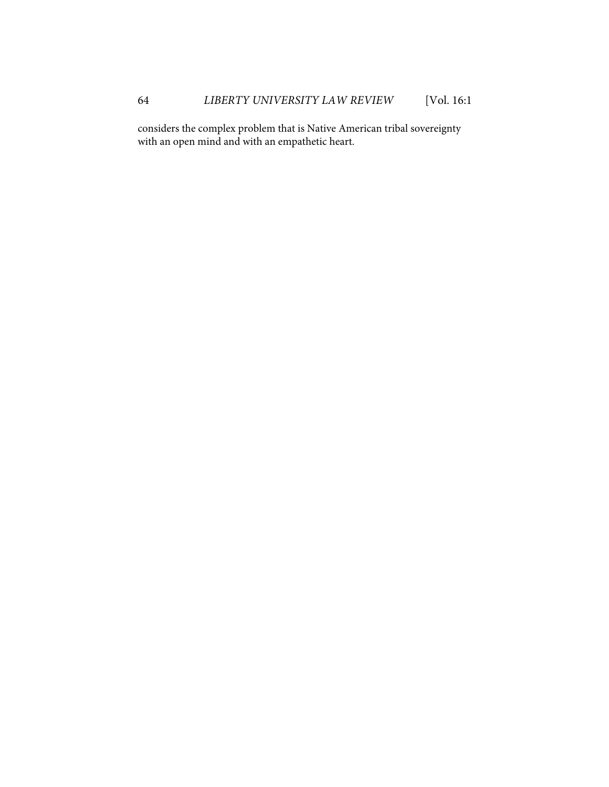considers the complex problem that is Native American tribal sovereignty with an open mind and with an empathetic heart.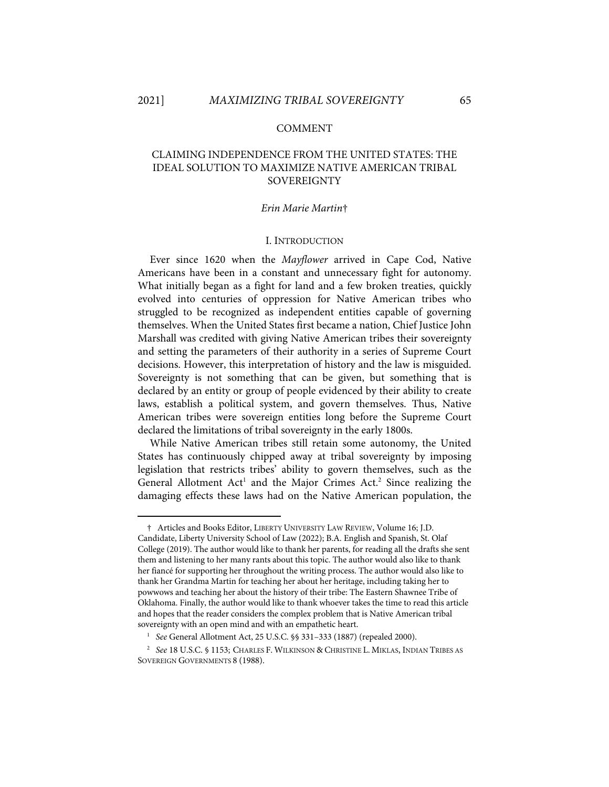#### COMMENT

## CLAIMING INDEPENDENCE FROM THE UNITED STATES: THE IDEAL SOLUTION TO MAXIMIZE NATIVE AMERICAN TRIBAL **SOVEREIGNTY**

#### *Erin Marie Martin*†

#### I. INTRODUCTION

Ever since 1620 when the *Mayflower* arrived in Cape Cod, Native Americans have been in a constant and unnecessary fight for autonomy. What initially began as a fight for land and a few broken treaties, quickly evolved into centuries of oppression for Native American tribes who struggled to be recognized as independent entities capable of governing themselves. When the United States first became a nation, Chief Justice John Marshall was credited with giving Native American tribes their sovereignty and setting the parameters of their authority in a series of Supreme Court decisions. However, this interpretation of history and the law is misguided. Sovereignty is not something that can be given, but something that is declared by an entity or group of people evidenced by their ability to create laws, establish a political system, and govern themselves. Thus, Native American tribes were sovereign entities long before the Supreme Court declared the limitations of tribal sovereignty in the early 1800s.

While Native American tribes still retain some autonomy, the United States has continuously chipped away at tribal sovereignty by imposing legislation that restricts tribes' ability to govern themselves, such as the General Allotment Act<sup>1</sup> and the Major Crimes Act.<sup>2</sup> Since realizing the damaging effects these laws had on the Native American population, the

<sup>†</sup> Articles and Books Editor, LIBERTY UNIVERSITY LAW REVIEW, Volume 16; J.D. Candidate, Liberty University School of Law (2022); B.A. English and Spanish, St. Olaf College (2019). The author would like to thank her parents, for reading all the drafts she sent them and listening to her many rants about this topic. The author would also like to thank her fiancé for supporting her throughout the writing process. The author would also like to thank her Grandma Martin for teaching her about her heritage, including taking her to powwows and teaching her about the history of their tribe: The Eastern Shawnee Tribe of Oklahoma. Finally, the author would like to thank whoever takes the time to read this article and hopes that the reader considers the complex problem that is Native American tribal sovereignty with an open mind and with an empathetic heart.

<sup>1</sup> *See* General Allotment Act, 25 U.S.C. §§ 331–333 (1887) (repealed 2000).

<sup>2</sup> *See* 18 U.S.C. § 1153; CHARLES F. WILKINSON & CHRISTINE L. MIKLAS, INDIAN TRIBES AS SOVEREIGN GOVERNMENTS 8 (1988).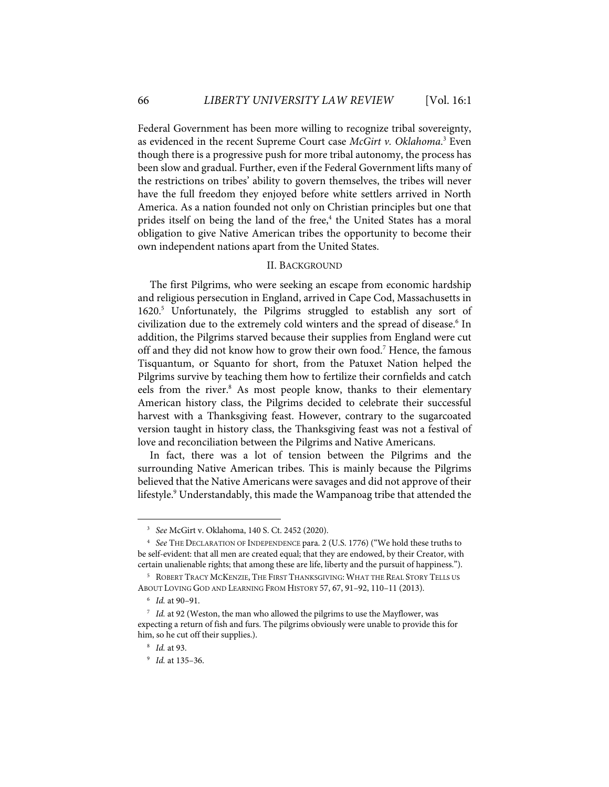Federal Government has been more willing to recognize tribal sovereignty, as evidenced in the recent Supreme Court case *McGirt v. Oklahoma*. <sup>3</sup> Even though there is a progressive push for more tribal autonomy, the process has been slow and gradual. Further, even if the Federal Government lifts many of the restrictions on tribes' ability to govern themselves, the tribes will never have the full freedom they enjoyed before white settlers arrived in North America. As a nation founded not only on Christian principles but one that prides itself on being the land of the free,<sup>4</sup> the United States has a moral obligation to give Native American tribes the opportunity to become their own independent nations apart from the United States.

#### II. BACKGROUND

The first Pilgrims, who were seeking an escape from economic hardship and religious persecution in England, arrived in Cape Cod, Massachusetts in 1620. <sup>5</sup> Unfortunately, the Pilgrims struggled to establish any sort of civilization due to the extremely cold winters and the spread of disease.<sup>6</sup> In addition, the Pilgrims starved because their supplies from England were cut off and they did not know how to grow their own food.<sup>7</sup> Hence, the famous Tisquantum, or Squanto for short, from the Patuxet Nation helped the Pilgrims survive by teaching them how to fertilize their cornfields and catch eels from the river.<sup>8</sup> As most people know, thanks to their elementary American history class, the Pilgrims decided to celebrate their successful harvest with a Thanksgiving feast. However, contrary to the sugarcoated version taught in history class, the Thanksgiving feast was not a festival of love and reconciliation between the Pilgrims and Native Americans.

In fact, there was a lot of tension between the Pilgrims and the surrounding Native American tribes. This is mainly because the Pilgrims believed that the Native Americans were savages and did not approve of their lifestyle.9 Understandably, this made the Wampanoag tribe that attended the

<sup>3</sup> *See* McGirt v. Oklahoma, 140 S. Ct. 2452 (2020).

<sup>4</sup> *See* THE DECLARATION OF INDEPENDENCE para. 2 (U.S. 1776) ("We hold these truths to be self-evident: that all men are created equal; that they are endowed, by their Creator, with certain unalienable rights; that among these are life, liberty and the pursuit of happiness.").

<sup>5</sup> ROBERT TRACY MCKENZIE, THE FIRST THANKSGIVING: WHAT THE REAL STORY TELLS US ABOUT LOVING GOD AND LEARNING FROM HISTORY 57, 67, 91–92, 110–11 (2013).

<sup>6</sup> *Id.* at 90–91.

<sup>7</sup> *Id.* at 92 (Weston, the man who allowed the pilgrims to use the Mayflower, was expecting a return of fish and furs. The pilgrims obviously were unable to provide this for him, so he cut off their supplies.).

<sup>8</sup> *Id.* at 93.

<sup>9</sup> *Id.* at 135–36.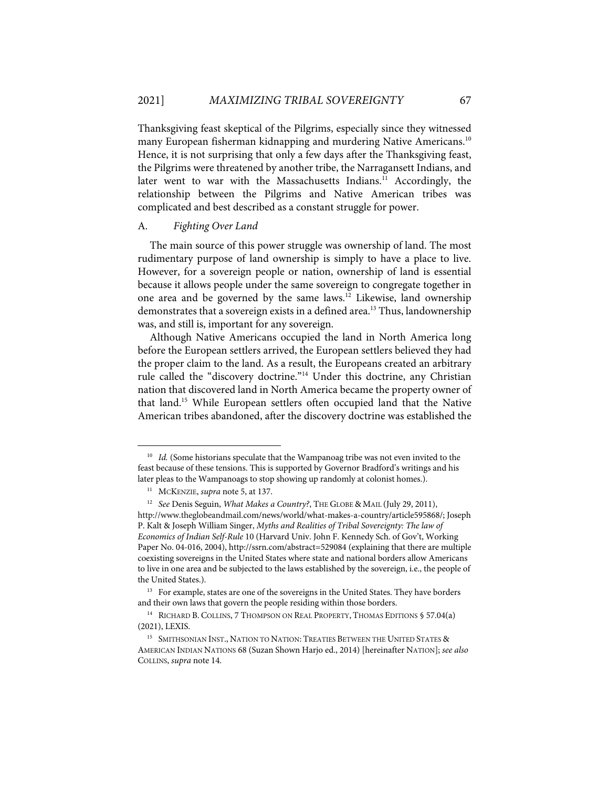Thanksgiving feast skeptical of the Pilgrims, especially since they witnessed many European fisherman kidnapping and murdering Native Americans.<sup>10</sup> Hence, it is not surprising that only a few days after the Thanksgiving feast, the Pilgrims were threatened by another tribe, the Narragansett Indians, and later went to war with the Massachusetts Indians.<sup>11</sup> Accordingly, the relationship between the Pilgrims and Native American tribes was complicated and best described as a constant struggle for power.

#### A. *Fighting Over Land*

The main source of this power struggle was ownership of land. The most rudimentary purpose of land ownership is simply to have a place to live. However, for a sovereign people or nation, ownership of land is essential because it allows people under the same sovereign to congregate together in one area and be governed by the same laws.<sup>12</sup> Likewise, land ownership demonstrates that a sovereign exists in a defined area.<sup>13</sup> Thus, landownership was, and still is, important for any sovereign.

Although Native Americans occupied the land in North America long before the European settlers arrived, the European settlers believed they had the proper claim to the land. As a result, the Europeans created an arbitrary rule called the "discovery doctrine."<sup>14</sup> Under this doctrine, any Christian nation that discovered land in North America became the property owner of that land.15 While European settlers often occupied land that the Native American tribes abandoned, after the discovery doctrine was established the

<sup>&</sup>lt;sup>10</sup> *Id.* (Some historians speculate that the Wampanoag tribe was not even invited to the feast because of these tensions. This is supported by Governor Bradford's writings and his later pleas to the Wampanoags to stop showing up randomly at colonist homes.).

<sup>11</sup> MCKENZIE, *supra* note 5, at 137.

<sup>&</sup>lt;sup>12</sup> *See* Denis Seguin, *What Makes a Country*?, THE GLOBE & MAIL (July 29, 2011), http://www.theglobeandmail.com/news/world/what-makes-a-country/article595868/; Joseph P. Kalt & Joseph William Singer, *Myths and Realities of Tribal Sovereignty: The law of Economics of Indian Self-Rule* 10 (Harvard Univ. John F. Kennedy Sch. of Gov't, Working Paper No. 04-016, 2004), http://ssrn.com/abstract=529084 (explaining that there are multiple coexisting sovereigns in the United States where state and national borders allow Americans to live in one area and be subjected to the laws established by the sovereign, i.e., the people of the United States.).

<sup>&</sup>lt;sup>13</sup> For example, states are one of the sovereigns in the United States. They have borders and their own laws that govern the people residing within those borders.

<sup>&</sup>lt;sup>14</sup> RICHARD B. COLLINS, 7 THOMPSON ON REAL PROPERTY, THOMAS EDITIONS § 57.04(a) (2021), LEXIS.

<sup>&</sup>lt;sup>15</sup> SMITHSONIAN INST., NATION TO NATION: TREATIES BETWEEN THE UNITED STATES & AMERICAN INDIAN NATIONS 68 (Suzan Shown Harjo ed., 2014) [hereinafter NATION]; *see also* COLLINS, *supra* note 14.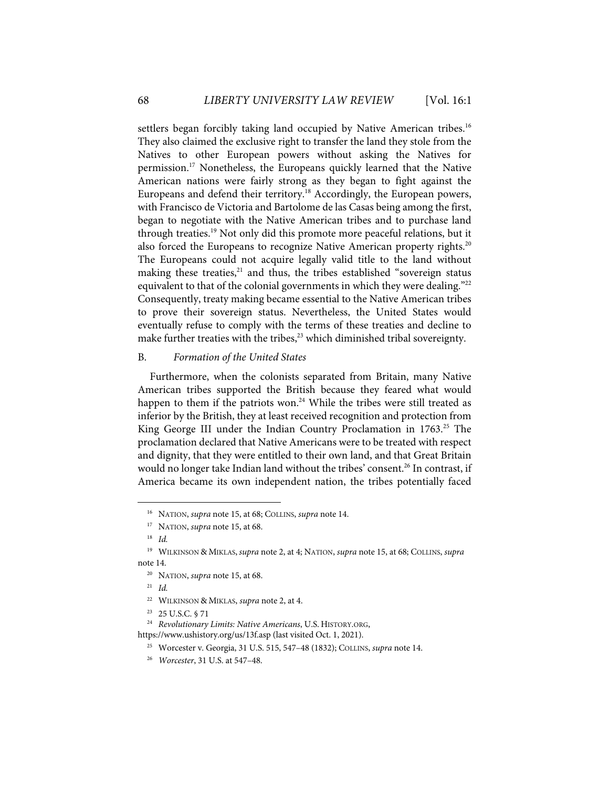settlers began forcibly taking land occupied by Native American tribes.<sup>16</sup> They also claimed the exclusive right to transfer the land they stole from the Natives to other European powers without asking the Natives for permission.<sup>17</sup> Nonetheless, the Europeans quickly learned that the Native American nations were fairly strong as they began to fight against the Europeans and defend their territory.<sup>18</sup> Accordingly, the European powers, with Francisco de Victoria and Bartolome de las Casas being among the first, began to negotiate with the Native American tribes and to purchase land through treaties.19 Not only did this promote more peaceful relations, but it also forced the Europeans to recognize Native American property rights.<sup>20</sup> The Europeans could not acquire legally valid title to the land without making these treaties,<sup>21</sup> and thus, the tribes established "sovereign status equivalent to that of the colonial governments in which they were dealing."<sup>22</sup> Consequently, treaty making became essential to the Native American tribes to prove their sovereign status. Nevertheless, the United States would eventually refuse to comply with the terms of these treaties and decline to make further treaties with the tribes,<sup>23</sup> which diminished tribal sovereignty.

#### B. *Formation of the United States*

Furthermore, when the colonists separated from Britain, many Native American tribes supported the British because they feared what would happen to them if the patriots won. $24$  While the tribes were still treated as inferior by the British, they at least received recognition and protection from King George III under the Indian Country Proclamation in 1763.<sup>25</sup> The proclamation declared that Native Americans were to be treated with respect and dignity, that they were entitled to their own land, and that Great Britain would no longer take Indian land without the tribes' consent.<sup>26</sup> In contrast, if America became its own independent nation, the tribes potentially faced

<sup>16</sup> NATION, *supra* note 15, at 68; COLLINS, *supra* note 14.

<sup>17</sup> NATION, *supra* note 15, at 68.

<sup>18</sup> *Id.*

<sup>19</sup> WILKINSON & MIKLAS, *supra* note 2, at 4; NATION, *supra* note 15, at 68; COLLINS, *supra*  note 14.

<sup>20</sup> NATION, *supra* note 15, at 68.

<sup>21</sup> *Id.*

<sup>22</sup> WILKINSON & MIKLAS, *supra* note 2, at 4.

<sup>23 25</sup> U.S.C. § 71

<sup>24</sup> *Revolutionary Limits: Native Americans*, U.S. HISTORY.ORG,

https://www.ushistory.org/us/13f.asp (last visited Oct. 1, 2021).

<sup>25</sup> Worcester v. Georgia, 31 U.S. 515, 547–48 (1832); COLLINS, *supra* note 14.

<sup>26</sup> *Worcester*, 31 U.S. at 547–48.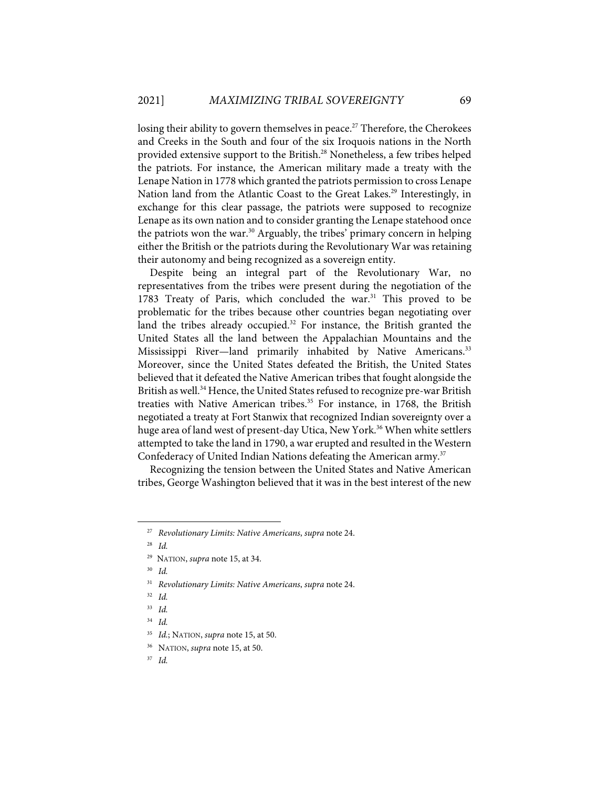losing their ability to govern themselves in peace.<sup>27</sup> Therefore, the Cherokees and Creeks in the South and four of the six Iroquois nations in the North provided extensive support to the British.<sup>28</sup> Nonetheless, a few tribes helped the patriots. For instance, the American military made a treaty with the Lenape Nation in 1778 which granted the patriots permission to cross Lenape Nation land from the Atlantic Coast to the Great Lakes.<sup>29</sup> Interestingly, in exchange for this clear passage, the patriots were supposed to recognize Lenape as its own nation and to consider granting the Lenape statehood once the patriots won the war.<sup>30</sup> Arguably, the tribes' primary concern in helping either the British or the patriots during the Revolutionary War was retaining their autonomy and being recognized as a sovereign entity.

Despite being an integral part of the Revolutionary War, no representatives from the tribes were present during the negotiation of the 1783 Treaty of Paris, which concluded the war.<sup>31</sup> This proved to be problematic for the tribes because other countries began negotiating over land the tribes already occupied.<sup>32</sup> For instance, the British granted the United States all the land between the Appalachian Mountains and the Mississippi River—land primarily inhabited by Native Americans.<sup>33</sup> Moreover, since the United States defeated the British, the United States believed that it defeated the Native American tribes that fought alongside the British as well. <sup>34</sup> Hence, the United States refused to recognize pre-war British treaties with Native American tribes.<sup>35</sup> For instance, in 1768, the British negotiated a treaty at Fort Stanwix that recognized Indian sovereignty over a huge area of land west of present-day Utica, New York.<sup>36</sup> When white settlers attempted to take the land in 1790, a war erupted and resulted in the Western Confederacy of United Indian Nations defeating the American army.<sup>37</sup>

Recognizing the tension between the United States and Native American tribes, George Washington believed that it was in the best interest of the new

<sup>27</sup> *Revolutionary Limits: Native Americans*, *supra* note 24.

<sup>28</sup> *Id.*

<sup>29</sup> NATION, *supra* note 15, at 34.

<sup>30</sup> *Id.* 

<sup>31</sup> *Revolutionary Limits: Native Americans*, *supra* note 24.

<sup>32</sup> *Id.* 

<sup>33</sup> *Id.*

<sup>34</sup> *Id.* 

<sup>35</sup> *Id.*; NATION, *supra* note 15, at 50.

<sup>36</sup> NATION, *supra* note 15, at 50.

<sup>37</sup> *Id.*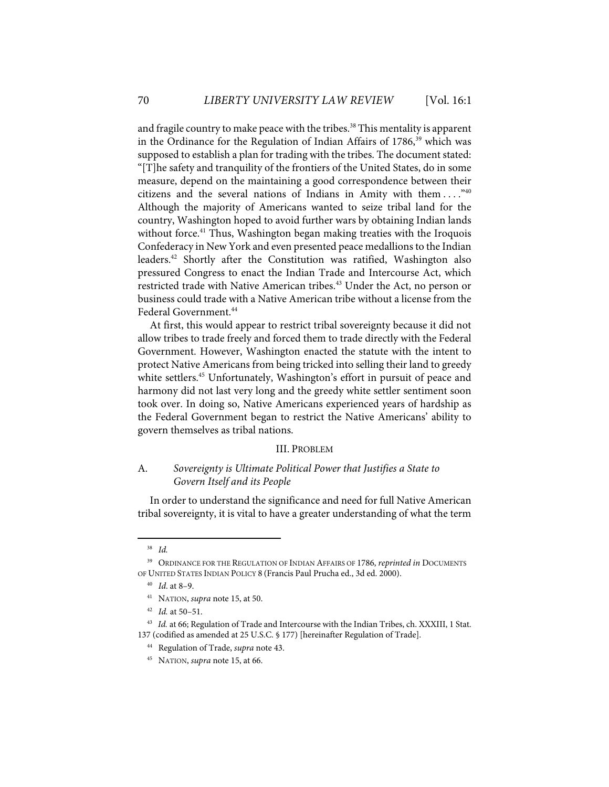and fragile country to make peace with the tribes.<sup>38</sup> This mentality is apparent in the Ordinance for the Regulation of Indian Affairs of 1786, <sup>39</sup> which was supposed to establish a plan for trading with the tribes. The document stated: "[T]he safety and tranquility of the frontiers of the United States, do in some measure, depend on the maintaining a good correspondence between their citizens and the several nations of Indians in Amity with them  $\dots$ ." $40$ Although the majority of Americans wanted to seize tribal land for the country, Washington hoped to avoid further wars by obtaining Indian lands without force.<sup>41</sup> Thus, Washington began making treaties with the Iroquois Confederacy in New York and even presented peace medallions to the Indian leaders.42 Shortly after the Constitution was ratified, Washington also pressured Congress to enact the Indian Trade and Intercourse Act, which restricted trade with Native American tribes.<sup>43</sup> Under the Act, no person or business could trade with a Native American tribe without a license from the Federal Government. 44

At first, this would appear to restrict tribal sovereignty because it did not allow tribes to trade freely and forced them to trade directly with the Federal Government. However, Washington enacted the statute with the intent to protect Native Americans from being tricked into selling their land to greedy white settlers.<sup>45</sup> Unfortunately, Washington's effort in pursuit of peace and harmony did not last very long and the greedy white settler sentiment soon took over. In doing so, Native Americans experienced years of hardship as the Federal Government began to restrict the Native Americans' ability to govern themselves as tribal nations.

#### III. PROBLEM

## A. *Sovereignty is Ultimate Political Power that Justifies a State to Govern Itself and its People*

In order to understand the significance and need for full Native American tribal sovereignty, it is vital to have a greater understanding of what the term

<sup>38</sup> *Id.* 

<sup>39</sup> ORDINANCE FOR THE REGULATION OF INDIAN AFFAIRS OF 1786, *reprinted in* DOCUMENTS OF UNITED STATES INDIAN POLICY 8 (Francis Paul Prucha ed., 3d ed. 2000).

<sup>40</sup> *Id*. at 8–9.

<sup>41</sup> NATION, *supra* note 15, at 50.

<sup>42</sup> *Id.* at 50–51.

<sup>&</sup>lt;sup>43</sup> *Id.* at 66; Regulation of Trade and Intercourse with the Indian Tribes, ch. XXXIII, 1 Stat. 137 (codified as amended at 25 U.S.C. § 177) [hereinafter Regulation of Trade].

<sup>44</sup> Regulation of Trade, *supra* note 43.

<sup>45</sup> NATION, *supra* note 15, at 66.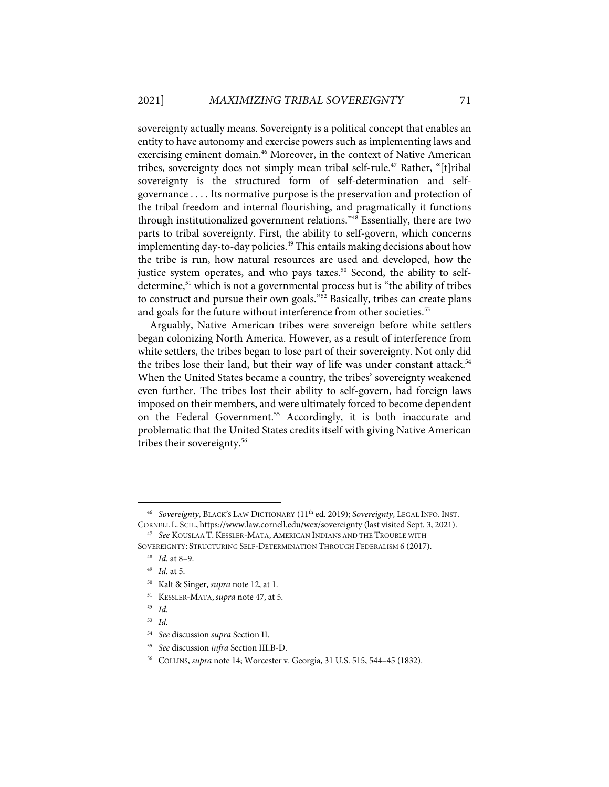sovereignty actually means. Sovereignty is a political concept that enables an entity to have autonomy and exercise powers such as implementing laws and exercising eminent domain.<sup>46</sup> Moreover, in the context of Native American tribes, sovereignty does not simply mean tribal self-rule.<sup>47</sup> Rather, "[t]ribal sovereignty is the structured form of self-determination and selfgovernance . . . . Its normative purpose is the preservation and protection of the tribal freedom and internal flourishing, and pragmatically it functions through institutionalized government relations."<sup>48</sup> Essentially, there are two parts to tribal sovereignty. First, the ability to self-govern, which concerns implementing day-to-day policies.<sup>49</sup> This entails making decisions about how the tribe is run, how natural resources are used and developed, how the justice system operates, and who pays taxes.<sup>50</sup> Second, the ability to selfdetermine, <sup>51</sup> which is not a governmental process but is "the ability of tribes to construct and pursue their own goals."<sup>52</sup> Basically, tribes can create plans and goals for the future without interference from other societies.<sup>53</sup>

Arguably, Native American tribes were sovereign before white settlers began colonizing North America. However, as a result of interference from white settlers, the tribes began to lose part of their sovereignty. Not only did the tribes lose their land, but their way of life was under constant attack.<sup>54</sup> When the United States became a country, the tribes' sovereignty weakened even further. The tribes lost their ability to self-govern, had foreign laws imposed on their members, and were ultimately forced to become dependent on the Federal Government. <sup>55</sup> Accordingly, it is both inaccurate and problematic that the United States credits itself with giving Native American tribes their sovereignty.<sup>56</sup>

<sup>46</sup> *Sovereignty*, BLACK'S LAW DICTIONARY (11th ed. 2019); *Sovereignty*, LEGAL INFO. INST. CORNELL L. SCH., https://www.law.cornell.edu/wex/sovereignty (last visited Sept. 3, 2021).

<sup>47</sup> *See* KOUSLAA T. KESSLER-MATA,AMERICAN INDIANS AND THE TROUBLE WITH SOVEREIGNTY: STRUCTURING SELF-DETERMINATION THROUGH FEDERALISM 6 (2017).

<sup>48</sup> *Id.* at 8–9.

<sup>49</sup> *Id.* at 5.

<sup>50</sup> Kalt & Singer, *supra* note 12, at 1.

<sup>51</sup> KESSLER-MATA, *supra* note 47, at 5.

<sup>52</sup> *Id.*

<sup>53</sup> *Id.*

<sup>54</sup> *See* discussion *supra* Section II.

<sup>55</sup> *See* discussion *infra* Section III.B-D.

<sup>56</sup> COLLINS, *supra* note 14; Worcester v. Georgia, 31 U.S. 515, 544–45 (1832).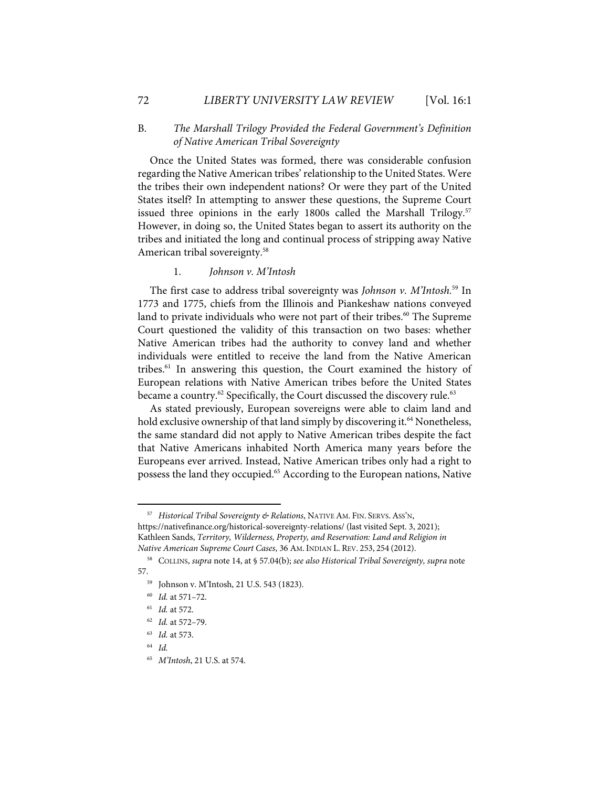## B. *The Marshall Trilogy Provided the Federal Government's Definition of Native American Tribal Sovereignty*

Once the United States was formed, there was considerable confusion regarding the Native American tribes' relationship to the United States. Were the tribes their own independent nations? Or were they part of the United States itself? In attempting to answer these questions, the Supreme Court issued three opinions in the early 1800s called the Marshall Trilogy.<sup>57</sup> However, in doing so, the United States began to assert its authority on the tribes and initiated the long and continual process of stripping away Native American tribal sovereignty.<sup>58</sup>

#### 1. *Johnson v. M'Intosh*

The first case to address tribal sovereignty was *Johnson v. M'Intosh.*<sup>59</sup> In 1773 and 1775, chiefs from the Illinois and Piankeshaw nations conveyed land to private individuals who were not part of their tribes.<sup>60</sup> The Supreme Court questioned the validity of this transaction on two bases: whether Native American tribes had the authority to convey land and whether individuals were entitled to receive the land from the Native American tribes. <sup>61</sup> In answering this question, the Court examined the history of European relations with Native American tribes before the United States became a country.<sup>62</sup> Specifically, the Court discussed the discovery rule.<sup>63</sup>

As stated previously, European sovereigns were able to claim land and hold exclusive ownership of that land simply by discovering it.<sup>64</sup> Nonetheless, the same standard did not apply to Native American tribes despite the fact that Native Americans inhabited North America many years before the Europeans ever arrived. Instead, Native American tribes only had a right to possess the land they occupied.<sup>65</sup> According to the European nations, Native

<sup>57</sup> *Historical Tribal Sovereignty & Relations*, NATIVE AM. FIN. SERVS.ASS'N, https://nativefinance.org/historical-sovereignty-relations/ (last visited Sept. 3, 2021); Kathleen Sands, *Territory, Wilderness, Property, and Reservation: Land and Religion in Native American Supreme Court Cases*, 36 AM. INDIAN L. REV. 253, 254 (2012).

<sup>58</sup> COLLINS, *supra* note 14, at § 57.04(b); *see also Historical Tribal Sovereignty, supra* note 57.

<sup>59</sup> Johnson v. M'Intosh, 21 U.S. 543 (1823).

<sup>60</sup> *Id.* at 571–72.

<sup>61</sup> *Id.* at 572.

<sup>62</sup> *Id.* at 572–79.

<sup>63</sup> *Id.* at 573.

<sup>64</sup> *Id.* 

<sup>65</sup> *M'Intosh*, 21 U.S. at 574.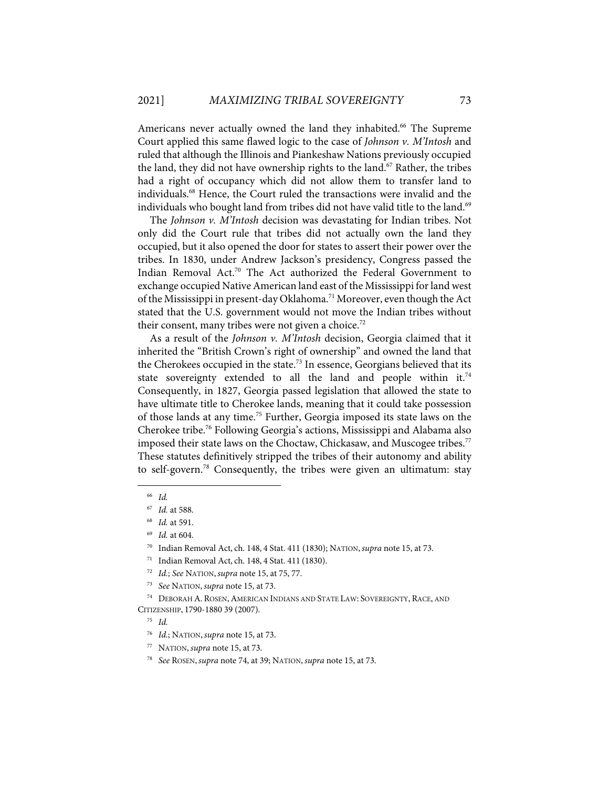Americans never actually owned the land they inhabited.<sup>66</sup> The Supreme Court applied this same flawed logic to the case of *Johnson v. M'Intosh* and ruled that although the Illinois and Piankeshaw Nations previously occupied the land, they did not have ownership rights to the land.<sup>67</sup> Rather, the tribes had a right of occupancy which did not allow them to transfer land to individuals.68 Hence, the Court ruled the transactions were invalid and the individuals who bought land from tribes did not have valid title to the land.<sup>69</sup>

The *Johnson v. M'Intosh* decision was devastating for Indian tribes. Not only did the Court rule that tribes did not actually own the land they occupied, but it also opened the door for states to assert their power over the tribes. In 1830, under Andrew Jackson's presidency, Congress passed the Indian Removal Act.70 The Act authorized the Federal Government to exchange occupied Native American land east of the Mississippi for land west of the Mississippi in present-day Oklahoma.<sup>71</sup> Moreover, even though the Act stated that the U.S. government would not move the Indian tribes without their consent, many tribes were not given a choice.<sup>72</sup>

As a result of the *Johnson v. M'Intosh* decision, Georgia claimed that it inherited the "British Crown's right of ownership" and owned the land that the Cherokees occupied in the state.<sup>73</sup> In essence, Georgians believed that its state sovereignty extended to all the land and people within it.<sup>74</sup> Consequently, in 1827, Georgia passed legislation that allowed the state to have ultimate title to Cherokee lands, meaning that it could take possession of those lands at any time.75 Further, Georgia imposed its state laws on the Cherokee tribe.76 Following Georgia's actions, Mississippi and Alabama also imposed their state laws on the Choctaw, Chickasaw, and Muscogee tribes.<sup>77</sup> These statutes definitively stripped the tribes of their autonomy and ability to self-govern.78 Consequently, the tribes were given an ultimatum: stay

75 *Id.*

<sup>66</sup> *Id.*

<sup>67</sup> *Id.* at 588.

<sup>68</sup> *Id.* at 591.

<sup>69</sup> *Id.* at 604.

<sup>70</sup> Indian Removal Act, ch. 148, 4 Stat. 411 (1830); NATION, *supra* note 15, at 73.

<sup>71</sup> Indian Removal Act, ch. 148, 4 Stat. 411 (1830).

<sup>72</sup> *Id.*; *See* NATION, *supra* note 15, at 75, 77.

<sup>73</sup> *See* NATION, *supra* note 15, at 73.

<sup>74</sup> DEBORAH A. ROSEN,AMERICAN INDIANS AND STATE LAW: SOVEREIGNTY, RACE, AND CITIZENSHIP, 1790-1880 39 (2007).

<sup>76</sup> *Id.*; NATION, *supra* note 15, at 73.

<sup>77</sup> NATION, *supra* note 15, at 73.

<sup>78</sup> *See* ROSEN, *supra* note 74, at 39; NATION, *supra* note 15, at 73.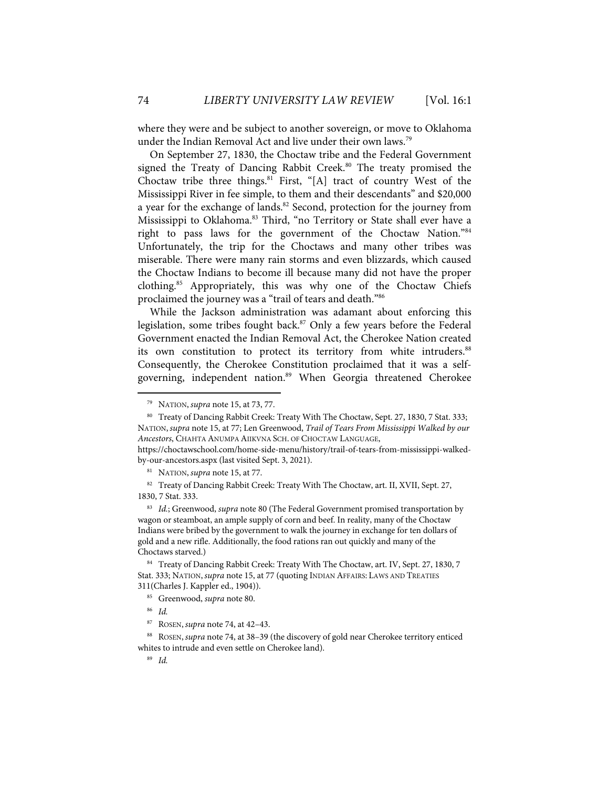where they were and be subject to another sovereign, or move to Oklahoma under the Indian Removal Act and live under their own laws.<sup>79</sup>

On September 27, 1830, the Choctaw tribe and the Federal Government signed the Treaty of Dancing Rabbit Creek.<sup>80</sup> The treaty promised the Choctaw tribe three things. $81$  First, "[A] tract of country West of the Mississippi River in fee simple, to them and their descendants" and \$20,000 a year for the exchange of lands.<sup>82</sup> Second, protection for the journey from Mississippi to Oklahoma.<sup>83</sup> Third, "no Territory or State shall ever have a right to pass laws for the government of the Choctaw Nation."84 Unfortunately, the trip for the Choctaws and many other tribes was miserable. There were many rain storms and even blizzards, which caused the Choctaw Indians to become ill because many did not have the proper clothing.<sup>85</sup> Appropriately, this was why one of the Choctaw Chiefs proclaimed the journey was a "trail of tears and death."86

While the Jackson administration was adamant about enforcing this legislation, some tribes fought back.<sup>87</sup> Only a few years before the Federal Government enacted the Indian Removal Act, the Cherokee Nation created its own constitution to protect its territory from white intruders.<sup>88</sup> Consequently, the Cherokee Constitution proclaimed that it was a selfgoverning, independent nation.<sup>89</sup> When Georgia threatened Cherokee

https://choctawschool.com/home-side-menu/history/trail-of-tears-from-mississippi-walkedby-our-ancestors.aspx (last visited Sept. 3, 2021).

81 NATION, *supra* note 15, at 77.

<sup>82</sup> Treaty of Dancing Rabbit Creek: Treaty With The Choctaw, art. II, XVII, Sept. 27, 1830, 7 Stat. 333.

83 *Id.*; Greenwood, *supra* note 80 (The Federal Government promised transportation by wagon or steamboat, an ample supply of corn and beef. In reality, many of the Choctaw Indians were bribed by the government to walk the journey in exchange for ten dollars of gold and a new rifle. Additionally, the food rations ran out quickly and many of the Choctaws starved.)

84 Treaty of Dancing Rabbit Creek: Treaty With The Choctaw, art. IV, Sept. 27, 1830, 7 Stat. 333; NATION, *supra* note 15, at 77 (quoting INDIAN AFFAIRS: LAWS AND TREATIES 311(Charles J. Kappler ed., 1904)).

88 ROSEN, *supra* note 74, at 38–39 (the discovery of gold near Cherokee territory enticed whites to intrude and even settle on Cherokee land).

89 *Id.*

<sup>79</sup> NATION, *supra* note 15, at 73, 77.

<sup>80</sup> Treaty of Dancing Rabbit Creek: Treaty With The Choctaw, Sept. 27, 1830, 7 Stat. 333; NATION, *supra* note 15, at 77; Len Greenwood, *Trail of Tears From Mississippi Walked by our Ancestors*, CHAHTA ANUMPA AIIKVNA SCH. OF CHOCTAW LANGUAGE,

<sup>85</sup> Greenwood, *supra* note 80.

<sup>86</sup> *Id.*

<sup>87</sup> ROSEN, *supra* note 74, at 42–43.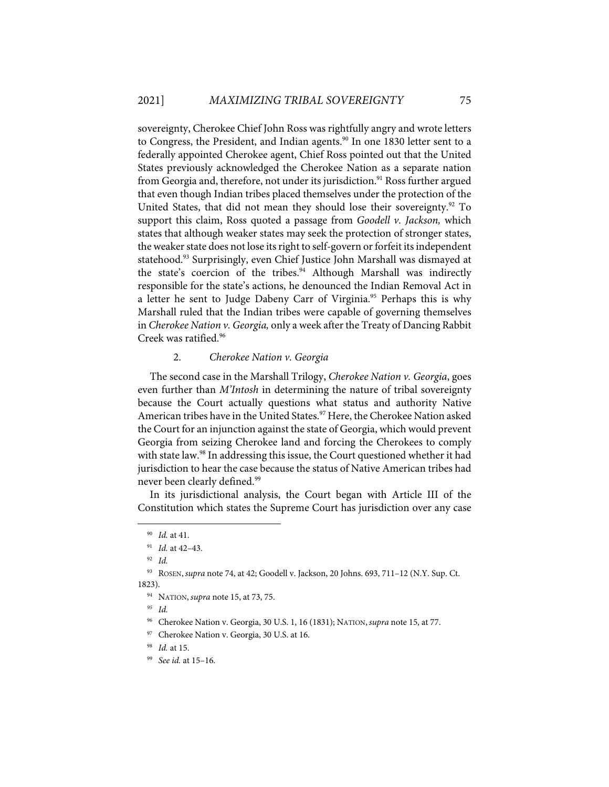sovereignty, Cherokee Chief John Ross was rightfully angry and wrote letters to Congress, the President, and Indian agents.<sup>90</sup> In one 1830 letter sent to a federally appointed Cherokee agent, Chief Ross pointed out that the United States previously acknowledged the Cherokee Nation as a separate nation from Georgia and, therefore, not under its jurisdiction.<sup>91</sup> Ross further argued that even though Indian tribes placed themselves under the protection of the United States, that did not mean they should lose their sovereignty.<sup>92</sup> To support this claim, Ross quoted a passage from *Goodell v. Jackson,* which states that although weaker states may seek the protection of stronger states, the weaker state does not lose its right to self-govern or forfeit its independent statehood.<sup>93</sup> Surprisingly, even Chief Justice John Marshall was dismayed at the state's coercion of the tribes.<sup>94</sup> Although Marshall was indirectly responsible for the state's actions, he denounced the Indian Removal Act in a letter he sent to Judge Dabeny Carr of Virginia. <sup>95</sup> Perhaps this is why Marshall ruled that the Indian tribes were capable of governing themselves in *Cherokee Nation v. Georgia,* only a week after the Treaty of Dancing Rabbit Creek was ratified.<sup>96</sup>

#### 2. *Cherokee Nation v. Georgia*

The second case in the Marshall Trilogy, *Cherokee Nation v. Georgia*, goes even further than *M'Intosh* in determining the nature of tribal sovereignty because the Court actually questions what status and authority Native American tribes have in the United States.<sup>97</sup> Here, the Cherokee Nation asked the Court for an injunction against the state of Georgia, which would prevent Georgia from seizing Cherokee land and forcing the Cherokees to comply with state law.<sup>98</sup> In addressing this issue, the Court questioned whether it had jurisdiction to hear the case because the status of Native American tribes had never been clearly defined.<sup>99</sup>

In its jurisdictional analysis, the Court began with Article III of the Constitution which states the Supreme Court has jurisdiction over any case

<sup>90</sup> *Id.* at 41.

<sup>91</sup> *Id.* at 42–43.

<sup>92</sup> *Id.*

<sup>93</sup> ROSEN, *supra* note 74, at 42; Goodell v. Jackson, 20 Johns. 693, 711–12 (N.Y. Sup. Ct. 1823).

<sup>94</sup> NATION, *supra* note 15, at 73, 75.

*<sup>95</sup> Id.*

<sup>96</sup> Cherokee Nation v. Georgia, 30 U.S. 1, 16 (1831); NATION, *supra* note 15, at 77.

<sup>97</sup> Cherokee Nation v. Georgia, 30 U.S. at 16.

<sup>98</sup> *Id.* at 15.

<sup>99</sup> *See id.* at 15–16.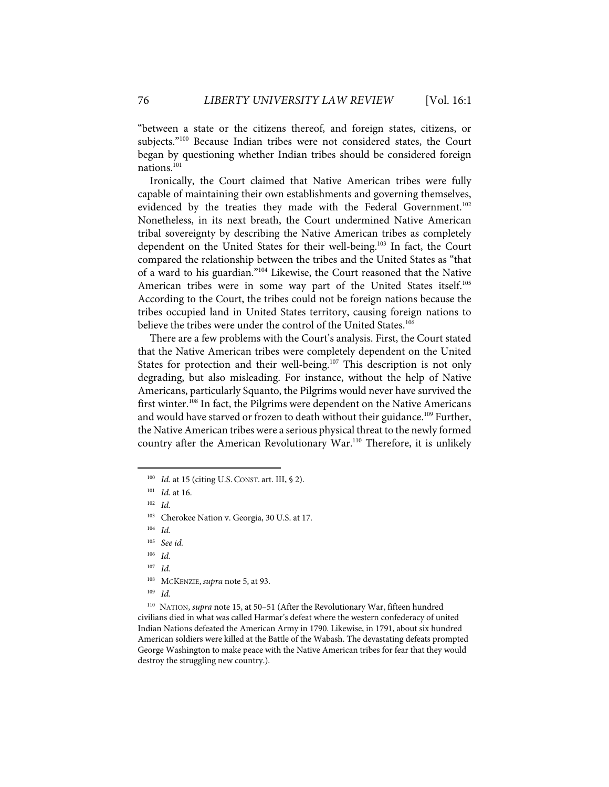"between a state or the citizens thereof, and foreign states, citizens, or subjects."<sup>100</sup> Because Indian tribes were not considered states, the Court began by questioning whether Indian tribes should be considered foreign nations.<sup>101</sup>

Ironically, the Court claimed that Native American tribes were fully capable of maintaining their own establishments and governing themselves, evidenced by the treaties they made with the Federal Government.<sup>102</sup> Nonetheless, in its next breath, the Court undermined Native American tribal sovereignty by describing the Native American tribes as completely dependent on the United States for their well-being.103 In fact, the Court compared the relationship between the tribes and the United States as "that of a ward to his guardian."104 Likewise, the Court reasoned that the Native American tribes were in some way part of the United States itself.<sup>105</sup> According to the Court, the tribes could not be foreign nations because the tribes occupied land in United States territory, causing foreign nations to believe the tribes were under the control of the United States.<sup>106</sup>

There are a few problems with the Court's analysis. First, the Court stated that the Native American tribes were completely dependent on the United States for protection and their well-being.<sup>107</sup> This description is not only degrading, but also misleading. For instance, without the help of Native Americans, particularly Squanto, the Pilgrims would never have survived the first winter.<sup>108</sup> In fact, the Pilgrims were dependent on the Native Americans and would have starved or frozen to death without their guidance.<sup>109</sup> Further, the Native American tribes were a serious physical threat to the newly formed country after the American Revolutionary War.<sup>110</sup> Therefore, it is unlikely

<sup>100</sup> *Id.* at 15 (citing U.S. CONST. art. III, § 2).

<sup>101</sup> *Id.* at 16.

<sup>102</sup> *Id.*

<sup>103</sup> Cherokee Nation v. Georgia, 30 U.S. at 17.

<sup>104</sup> *Id.*

<sup>105</sup> *See id.* 

<sup>106</sup> *Id.*

<sup>107</sup> *Id.*

<sup>108</sup> MCKENZIE, *supra* note 5, at 93.

<sup>109</sup> *Id.* 

<sup>110</sup> NATION, *supra* note 15, at 50–51 (After the Revolutionary War, fifteen hundred civilians died in what was called Harmar's defeat where the western confederacy of united Indian Nations defeated the American Army in 1790. Likewise, in 1791, about six hundred American soldiers were killed at the Battle of the Wabash. The devastating defeats prompted George Washington to make peace with the Native American tribes for fear that they would destroy the struggling new country.).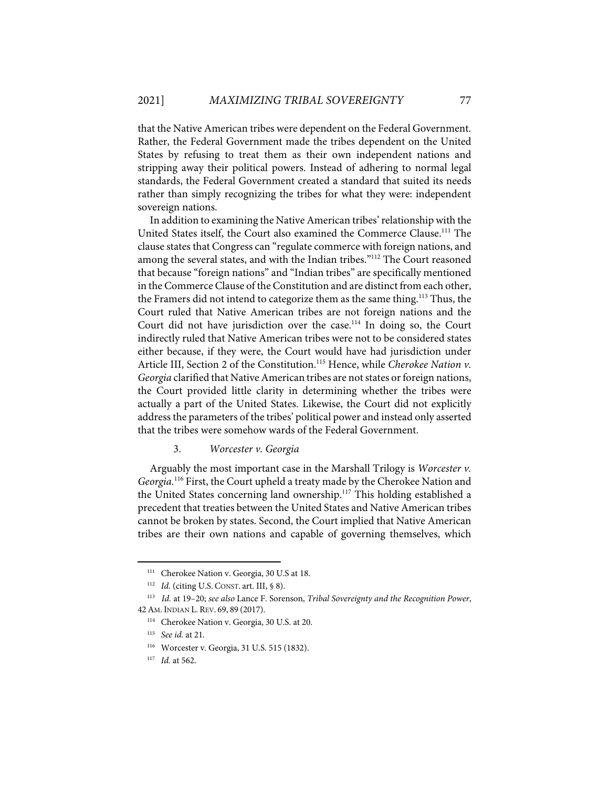that the Native American tribes were dependent on the Federal Government. Rather, the Federal Government made the tribes dependent on the United States by refusing to treat them as their own independent nations and stripping away their political powers. Instead of adhering to normal legal standards, the Federal Government created a standard that suited its needs rather than simply recognizing the tribes for what they were: independent sovereign nations.

In addition to examining the Native American tribes'relationship with the United States itself, the Court also examined the Commerce Clause.111 The clause states that Congress can "regulate commerce with foreign nations, and among the several states, and with the Indian tribes."112 The Court reasoned that because "foreign nations" and "Indian tribes" are specifically mentioned in the Commerce Clause of the Constitution and are distinct from each other, the Framers did not intend to categorize them as the same thing.<sup>113</sup> Thus, the Court ruled that Native American tribes are not foreign nations and the Court did not have jurisdiction over the case.<sup>114</sup> In doing so, the Court indirectly ruled that Native American tribes were not to be considered states either because, if they were, the Court would have had jurisdiction under Article III, Section 2 of the Constitution.<sup>115</sup> Hence, while *Cherokee Nation v*. *Georgia* clarified that Native American tribes are not states or foreign nations, the Court provided little clarity in determining whether the tribes were actually a part of the United States. Likewise, the Court did not explicitly address the parameters of the tribes' political power and instead only asserted that the tribes were somehow wards of the Federal Government.

#### 3. *Worcester v. Georgia*

Arguably the most important case in the Marshall Trilogy is *Worcester v. Georgia.* <sup>116</sup> First, the Court upheld a treaty made by the Cherokee Nation and the United States concerning land ownership.<sup>117</sup> This holding established a precedent that treaties between the United States and Native American tribes cannot be broken by states. Second, the Court implied that Native American tribes are their own nations and capable of governing themselves, which

<sup>&</sup>lt;sup>111</sup> Cherokee Nation v. Georgia, 30 U.S at 18.

<sup>&</sup>lt;sup>112</sup> *Id.* (citing U.S. CONST. art. III, § 8).

<sup>113</sup> *Id.* at 19–20; *see also* Lance F. Sorenson, *Tribal Sovereignty and the Recognition Power*, 42AM. INDIAN L. REV. 69, 89 (2017).

<sup>114</sup> Cherokee Nation v. Georgia, 30 U.S. at 20.

<sup>115</sup> *See id.* at 21.

<sup>116</sup> Worcester v. Georgia, 31 U.S. 515 (1832).

<sup>117</sup> *Id.* at 562.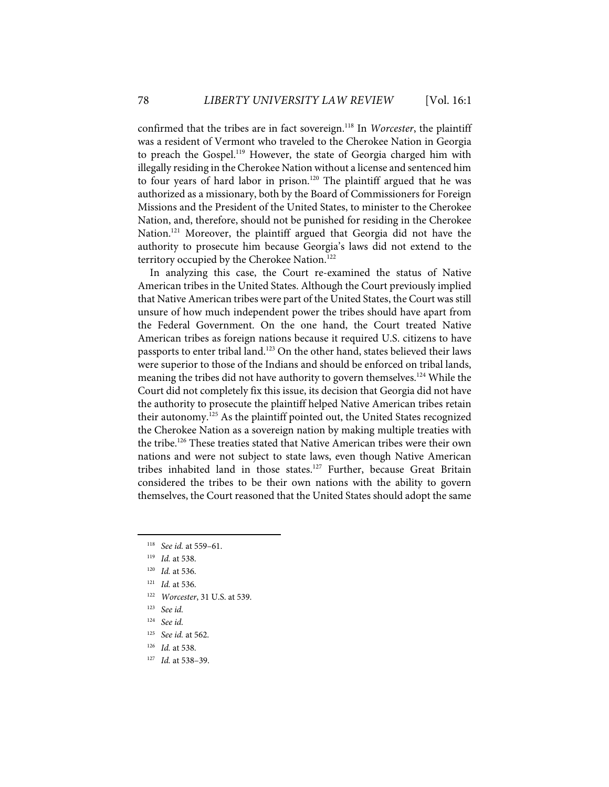confirmed that the tribes are in fact sovereign.118 In *Worcester*, the plaintiff was a resident of Vermont who traveled to the Cherokee Nation in Georgia to preach the Gospel.119 However, the state of Georgia charged him with illegally residing in the Cherokee Nation without a license and sentenced him to four years of hard labor in prison.<sup>120</sup> The plaintiff argued that he was authorized as a missionary, both by the Board of Commissioners for Foreign Missions and the President of the United States, to minister to the Cherokee Nation, and, therefore, should not be punished for residing in the Cherokee Nation.<sup>121</sup> Moreover, the plaintiff argued that Georgia did not have the authority to prosecute him because Georgia's laws did not extend to the territory occupied by the Cherokee Nation.<sup>122</sup>

In analyzing this case, the Court re-examined the status of Native American tribes in the United States. Although the Court previously implied that Native American tribes were part of the United States, the Court was still unsure of how much independent power the tribes should have apart from the Federal Government. On the one hand, the Court treated Native American tribes as foreign nations because it required U.S. citizens to have passports to enter tribal land.<sup>123</sup> On the other hand, states believed their laws were superior to those of the Indians and should be enforced on tribal lands, meaning the tribes did not have authority to govern themselves.<sup>124</sup> While the Court did not completely fix this issue, its decision that Georgia did not have the authority to prosecute the plaintiff helped Native American tribes retain their autonomy.<sup>125</sup> As the plaintiff pointed out, the United States recognized the Cherokee Nation as a sovereign nation by making multiple treaties with the tribe.<sup>126</sup> These treaties stated that Native American tribes were their own nations and were not subject to state laws, even though Native American tribes inhabited land in those states.<sup>127</sup> Further, because Great Britain considered the tribes to be their own nations with the ability to govern themselves, the Court reasoned that the United States should adopt the same

<sup>118</sup> *See id.* at 559–61.

<sup>119</sup> *Id.* at 538.

<sup>120</sup> *Id.* at 536.

<sup>121</sup> *Id.* at 536.

<sup>122</sup> *Worcester*, 31 U.S. at 539.

<sup>123</sup> *See id.*

<sup>124</sup> *See id.* 

<sup>125</sup> *See id.* at 562.

<sup>126</sup> *Id.* at 538.

<sup>127</sup> *Id.* at 538–39.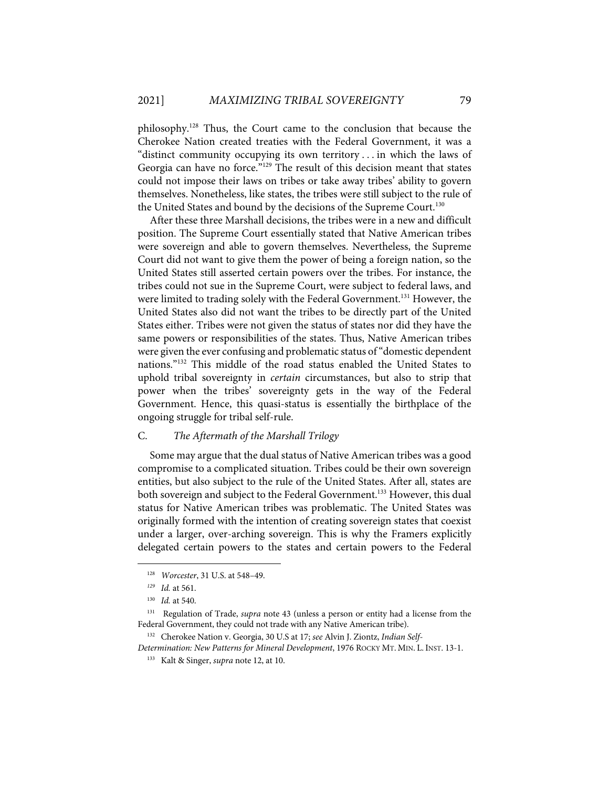philosophy.128 Thus, the Court came to the conclusion that because the Cherokee Nation created treaties with the Federal Government, it was a "distinct community occupying its own territory . . . in which the laws of Georgia can have no force."<sup>129</sup> The result of this decision meant that states could not impose their laws on tribes or take away tribes' ability to govern themselves. Nonetheless, like states, the tribes were still subject to the rule of the United States and bound by the decisions of the Supreme Court.<sup>130</sup>

After these three Marshall decisions, the tribes were in a new and difficult position. The Supreme Court essentially stated that Native American tribes were sovereign and able to govern themselves. Nevertheless, the Supreme Court did not want to give them the power of being a foreign nation, so the United States still asserted certain powers over the tribes. For instance, the tribes could not sue in the Supreme Court, were subject to federal laws, and were limited to trading solely with the Federal Government. <sup>131</sup> However, the United States also did not want the tribes to be directly part of the United States either. Tribes were not given the status of states nor did they have the same powers or responsibilities of the states. Thus, Native American tribes were given the ever confusing and problematic status of "domestic dependent nations."132 This middle of the road status enabled the United States to uphold tribal sovereignty in *certain* circumstances, but also to strip that power when the tribes' sovereignty gets in the way of the Federal Government. Hence, this quasi-status is essentially the birthplace of the ongoing struggle for tribal self-rule.

#### C. *The Aftermath of the Marshall Trilogy*

Some may argue that the dual status of Native American tribes was a good compromise to a complicated situation. Tribes could be their own sovereign entities, but also subject to the rule of the United States. After all, states are both sovereign and subject to the Federal Government.<sup>133</sup> However, this dual status for Native American tribes was problematic. The United States was originally formed with the intention of creating sovereign states that coexist under a larger, over-arching sovereign. This is why the Framers explicitly delegated certain powers to the states and certain powers to the Federal

<sup>128</sup> *Worcester*, 31 U.S. at 548–49.

*<sup>129</sup> Id.* at 561.

<sup>130</sup> *Id.* at 540.

<sup>131</sup> Regulation of Trade, *supra* note 43 (unless a person or entity had a license from the Federal Government, they could not trade with any Native American tribe).

<sup>132</sup> Cherokee Nation v. Georgia, 30 U.S at 17; *see* Alvin J. Ziontz, *Indian Self-*

*Determination: New Patterns for Mineral Development*, 1976 ROCKY MT. MIN. L. INST. 13-1.

<sup>133</sup> Kalt & Singer, *supra* note 12, at 10.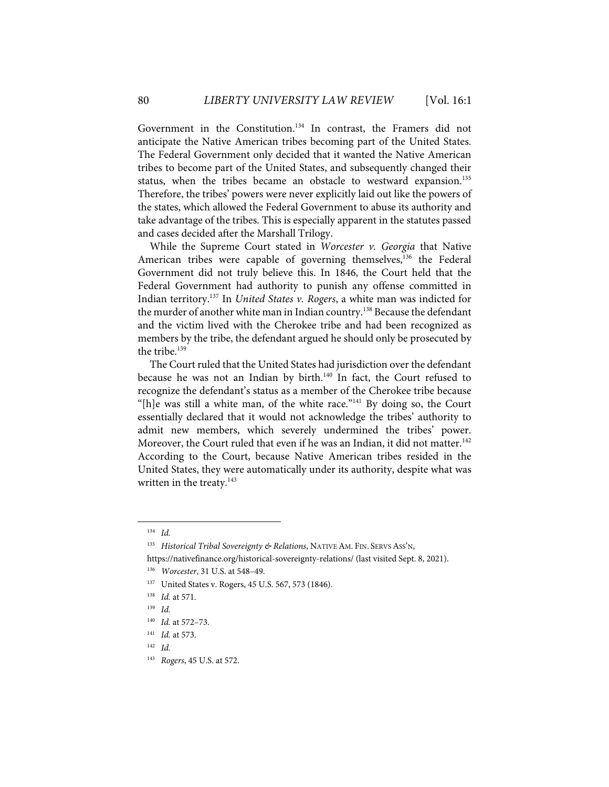Government in the Constitution.134 In contrast, the Framers did not anticipate the Native American tribes becoming part of the United States. The Federal Government only decided that it wanted the Native American tribes to become part of the United States, and subsequently changed their status, when the tribes became an obstacle to westward expansion.<sup>135</sup> Therefore, the tribes' powers were never explicitly laid out like the powers of the states, which allowed the Federal Government to abuse its authority and take advantage of the tribes. This is especially apparent in the statutes passed and cases decided after the Marshall Trilogy.

While the Supreme Court stated in *Worcester v. Georgia* that Native American tribes were capable of governing themselves,  $136$  the Federal Government did not truly believe this. In 1846, the Court held that the Federal Government had authority to punish any offense committed in Indian territory.137 In *United States v. Rogers*, a white man was indicted for the murder of another white man in Indian country.<sup>138</sup> Because the defendant and the victim lived with the Cherokee tribe and had been recognized as members by the tribe, the defendant argued he should only be prosecuted by the tribe.<sup>139</sup>

The Court ruled that the United States had jurisdiction over the defendant because he was not an Indian by birth.<sup>140</sup> In fact, the Court refused to recognize the defendant's status as a member of the Cherokee tribe because "[h]e was still a white man, of the white race."<sup>141</sup> By doing so, the Court essentially declared that it would not acknowledge the tribes' authority to admit new members, which severely undermined the tribes' power. Moreover, the Court ruled that even if he was an Indian, it did not matter.<sup>142</sup> According to the Court, because Native American tribes resided in the United States, they were automatically under its authority, despite what was written in the treaty. $143$ 

<sup>134</sup> *Id.*

<sup>135</sup> *Historical Tribal Sovereignty & Relations*, NATIVE AM. FIN. SERVS ASS'N,

https://nativefinance.org/historical-sovereignty-relations/ (last visited Sept. 8, 2021).

<sup>136</sup> *Worcester*, 31 U.S. at 548–49.

<sup>137</sup> United States v. Rogers, 45 U.S. 567, 573 (1846).

<sup>138</sup> *Id.* at 571.

<sup>139</sup> *Id.*

<sup>140</sup> *Id.* at 572–73.

<sup>141</sup> *Id.* at 573.

<sup>142</sup> *Id.*

<sup>143</sup> *Rogers*, 45 U.S. at 572.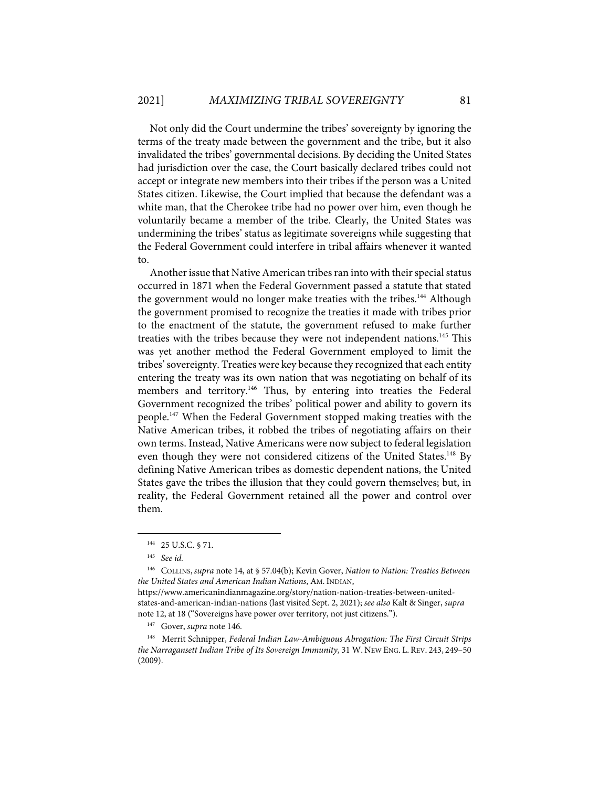Not only did the Court undermine the tribes' sovereignty by ignoring the terms of the treaty made between the government and the tribe, but it also invalidated the tribes' governmental decisions. By deciding the United States had jurisdiction over the case, the Court basically declared tribes could not accept or integrate new members into their tribes if the person was a United States citizen. Likewise, the Court implied that because the defendant was a white man, that the Cherokee tribe had no power over him, even though he voluntarily became a member of the tribe. Clearly, the United States was undermining the tribes' status as legitimate sovereigns while suggesting that the Federal Government could interfere in tribal affairs whenever it wanted to.

Another issue that Native American tribes ran into with their special status occurred in 1871 when the Federal Government passed a statute that stated the government would no longer make treaties with the tribes.<sup>144</sup> Although the government promised to recognize the treaties it made with tribes prior to the enactment of the statute, the government refused to make further treaties with the tribes because they were not independent nations.<sup>145</sup> This was yet another method the Federal Government employed to limit the tribes' sovereignty. Treaties were key because they recognized that each entity entering the treaty was its own nation that was negotiating on behalf of its members and territory.<sup>146</sup> Thus, by entering into treaties the Federal Government recognized the tribes' political power and ability to govern its people. <sup>147</sup> When the Federal Government stopped making treaties with the Native American tribes, it robbed the tribes of negotiating affairs on their own terms. Instead, Native Americans were now subject to federal legislation even though they were not considered citizens of the United States.<sup>148</sup> By defining Native American tribes as domestic dependent nations, the United States gave the tribes the illusion that they could govern themselves; but, in reality, the Federal Government retained all the power and control over them.

<sup>144 25</sup> U.S.C. § 71.

<sup>145</sup> *See id.*

<sup>146</sup> COLLINS, *supra* note 14, at § 57.04(b); Kevin Gover, *Nation to Nation: Treaties Between the United States and American Indian Nations*, AM. INDIAN,

https://www.americanindianmagazine.org/story/nation-nation-treaties-between-unitedstates-and-american-indian-nations (last visited Sept. 2, 2021); *see also* Kalt & Singer, *supra* note 12, at 18 ("Sovereigns have power over territory, not just citizens.").

<sup>147</sup> Gover, *supra* note 146.

<sup>148</sup> Merrit Schnipper, *Federal Indian Law-Ambiguous Abrogation: The First Circuit Strips the Narragansett Indian Tribe of Its Sovereign Immunity*, 31 W. NEW ENG. L. REV. 243, 249–50 (2009).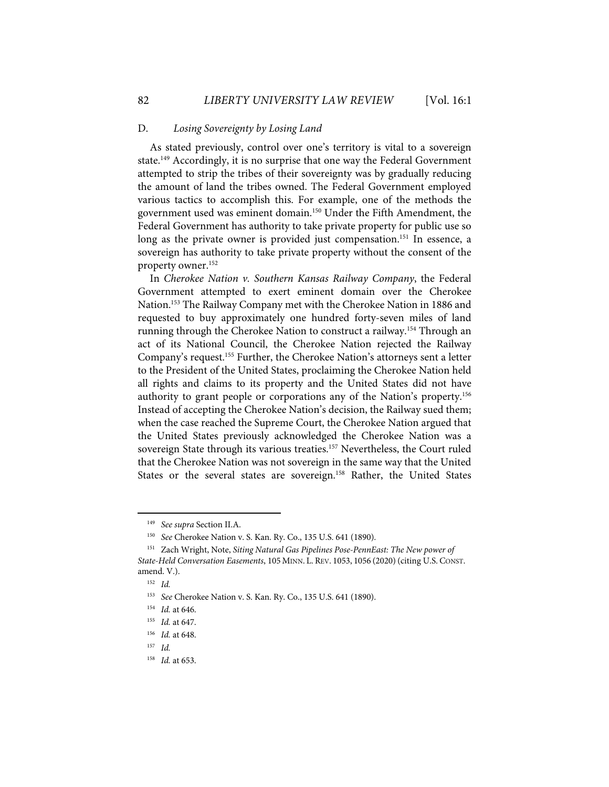#### D. *Losing Sovereignty by Losing Land*

As stated previously, control over one's territory is vital to a sovereign state.<sup>149</sup> Accordingly, it is no surprise that one way the Federal Government attempted to strip the tribes of their sovereignty was by gradually reducing the amount of land the tribes owned. The Federal Government employed various tactics to accomplish this. For example, one of the methods the government used was eminent domain.<sup>150</sup> Under the Fifth Amendment, the Federal Government has authority to take private property for public use so long as the private owner is provided just compensation.<sup>151</sup> In essence, a sovereign has authority to take private property without the consent of the property owner.152

In *Cherokee Nation v. Southern Kansas Railway Company*, the Federal Government attempted to exert eminent domain over the Cherokee Nation.153 The Railway Company met with the Cherokee Nation in 1886 and requested to buy approximately one hundred forty-seven miles of land running through the Cherokee Nation to construct a railway.<sup>154</sup> Through an act of its National Council, the Cherokee Nation rejected the Railway Company's request.155 Further, the Cherokee Nation's attorneys sent a letter to the President of the United States, proclaiming the Cherokee Nation held all rights and claims to its property and the United States did not have authority to grant people or corporations any of the Nation's property.<sup>156</sup> Instead of accepting the Cherokee Nation's decision, the Railway sued them; when the case reached the Supreme Court, the Cherokee Nation argued that the United States previously acknowledged the Cherokee Nation was a sovereign State through its various treaties.<sup>157</sup> Nevertheless, the Court ruled that the Cherokee Nation was not sovereign in the same way that the United States or the several states are sovereign.<sup>158</sup> Rather, the United States

<sup>149</sup> *See supra* Section II.A.

<sup>150</sup> *See* Cherokee Nation v. S. Kan. Ry. Co., 135 U.S. 641 (1890).

<sup>151</sup> Zach Wright, Note, *Siting Natural Gas Pipelines Pose-PennEast: The New power of State-Held Conversation Easements*, 105 MINN. L. REV. 1053, 1056 (2020)(citing U.S. CONST. amend. V.).

<sup>152</sup> *Id.*

<sup>153</sup> *See* Cherokee Nation v. S. Kan. Ry. Co., 135 U.S. 641 (1890).

<sup>154</sup> *Id.* at 646.

<sup>155</sup> *Id.* at 647.

<sup>156</sup> *Id.* at 648.

<sup>157</sup> *Id.* 

<sup>158</sup> *Id.* at 653.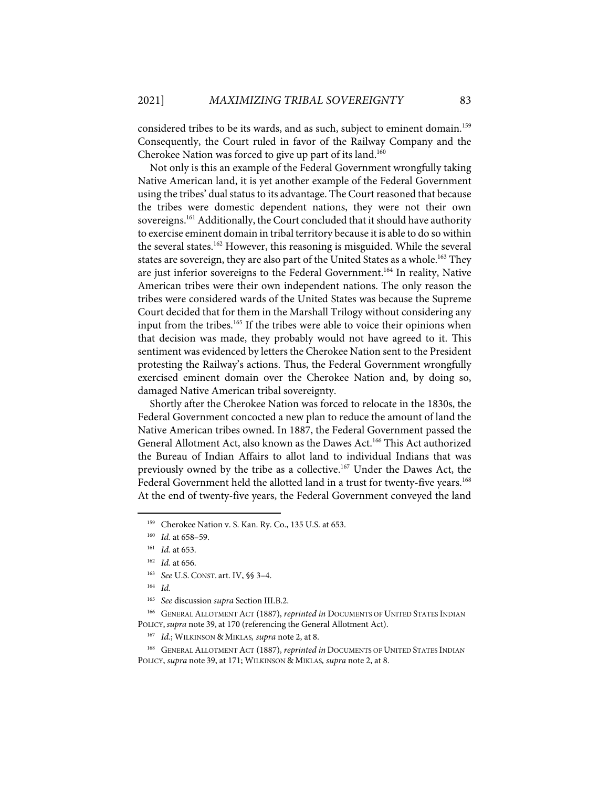considered tribes to be its wards, and as such, subject to eminent domain.<sup>159</sup> Consequently, the Court ruled in favor of the Railway Company and the Cherokee Nation was forced to give up part of its land.<sup>160</sup>

Not only is this an example of the Federal Government wrongfully taking Native American land, it is yet another example of the Federal Government using the tribes' dual status to its advantage. The Court reasoned that because the tribes were domestic dependent nations, they were not their own sovereigns.<sup>161</sup> Additionally, the Court concluded that it should have authority to exercise eminent domain in tribal territory because it is able to do so within the several states.<sup>162</sup> However, this reasoning is misguided. While the several states are sovereign, they are also part of the United States as a whole.<sup>163</sup> They are just inferior sovereigns to the Federal Government.<sup>164</sup> In reality, Native American tribes were their own independent nations. The only reason the tribes were considered wards of the United States was because the Supreme Court decided that for them in the Marshall Trilogy without considering any input from the tribes. <sup>165</sup> If the tribes were able to voice their opinions when that decision was made, they probably would not have agreed to it. This sentiment was evidenced by letters the Cherokee Nation sent to the President protesting the Railway's actions. Thus, the Federal Government wrongfully exercised eminent domain over the Cherokee Nation and, by doing so, damaged Native American tribal sovereignty.

Shortly after the Cherokee Nation was forced to relocate in the 1830s, the Federal Government concocted a new plan to reduce the amount of land the Native American tribes owned. In 1887, the Federal Government passed the General Allotment Act, also known as the Dawes Act. <sup>166</sup> This Act authorized the Bureau of Indian Affairs to allot land to individual Indians that was previously owned by the tribe as a collective. <sup>167</sup> Under the Dawes Act, the Federal Government held the allotted land in a trust for twenty-five years.<sup>168</sup> At the end of twenty-five years, the Federal Government conveyed the land

166 GENERAL ALLOTMENT ACT (1887), *reprinted in* DOCUMENTS OF UNITED STATES INDIAN POLICY, *supra* note 39, at 170 (referencing the General Allotment Act).

<sup>&</sup>lt;sup>159</sup> Cherokee Nation v. S. Kan. Ry. Co., 135 U.S. at 653.

<sup>160</sup> *Id.* at 658–59.

<sup>161</sup> *Id.* at 653.

<sup>162</sup> *Id.* at 656.

<sup>163</sup> *See* U.S. CONST. art. IV, §§ 3–4.

<sup>164</sup> *Id.*

<sup>165</sup> *See* discussion *supra* Section III.B.2.

<sup>167</sup> *Id.*; WILKINSON & MIKLAS*, supra* note 2, at 8.

<sup>&</sup>lt;sup>168</sup> GENERAL ALLOTMENT ACT (1887), *reprinted in* DOCUMENTS OF UNITED STATES INDIAN POLICY, *supra* note 39, at 171; WILKINSON & MIKLAS*, supra* note 2, at 8.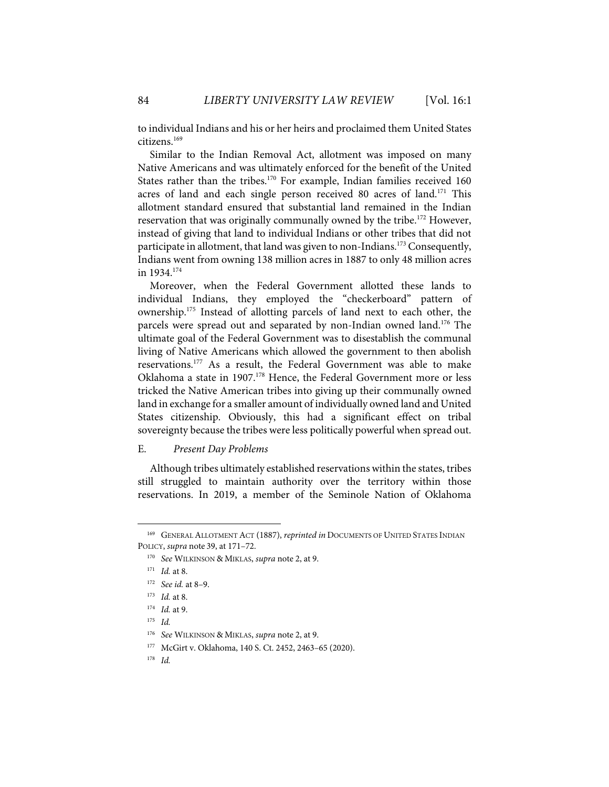to individual Indians and his or her heirs and proclaimed them United States citizens.169

Similar to the Indian Removal Act, allotment was imposed on many Native Americans and was ultimately enforced for the benefit of the United States rather than the tribes.<sup>170</sup> For example, Indian families received 160 acres of land and each single person received 80 acres of land.<sup>171</sup> This allotment standard ensured that substantial land remained in the Indian reservation that was originally communally owned by the tribe.<sup>172</sup> However, instead of giving that land to individual Indians or other tribes that did not participate in allotment, that land was given to non-Indians.<sup>173</sup> Consequently, Indians went from owning 138 million acres in 1887 to only 48 million acres in 1934.174

Moreover, when the Federal Government allotted these lands to individual Indians, they employed the "checkerboard" pattern of ownership.175 Instead of allotting parcels of land next to each other, the parcels were spread out and separated by non-Indian owned land.<sup>176</sup> The ultimate goal of the Federal Government was to disestablish the communal living of Native Americans which allowed the government to then abolish reservations.177 As a result, the Federal Government was able to make Oklahoma a state in 1907.<sup>178</sup> Hence, the Federal Government more or less tricked the Native American tribes into giving up their communally owned land in exchange for a smaller amount of individually owned land and United States citizenship. Obviously, this had a significant effect on tribal sovereignty because the tribes were less politically powerful when spread out.

#### E. *Present Day Problems*

Although tribes ultimately established reservations within the states, tribes still struggled to maintain authority over the territory within those reservations. In 2019, a member of the Seminole Nation of Oklahoma

<sup>&</sup>lt;sup>169</sup> GENERAL ALLOTMENT ACT (1887), *reprinted in* DOCUMENTS OF UNITED STATES INDIAN POLICY, *supra* note 39, at 171–72.

<sup>170</sup> *See* WILKINSON & MIKLAS, *supra* note 2, at 9.

<sup>171</sup> *Id.* at 8.

<sup>172</sup> *See id.* at 8–9.

<sup>173</sup> *Id.* at 8.

<sup>174</sup> *Id.* at 9.

<sup>175</sup> *Id.*

<sup>176</sup> *See* WILKINSON & MIKLAS, *supra* note 2, at 9.

<sup>177</sup> McGirt v. Oklahoma, 140 S. Ct. 2452, 2463–65 (2020).

<sup>178</sup> *Id.*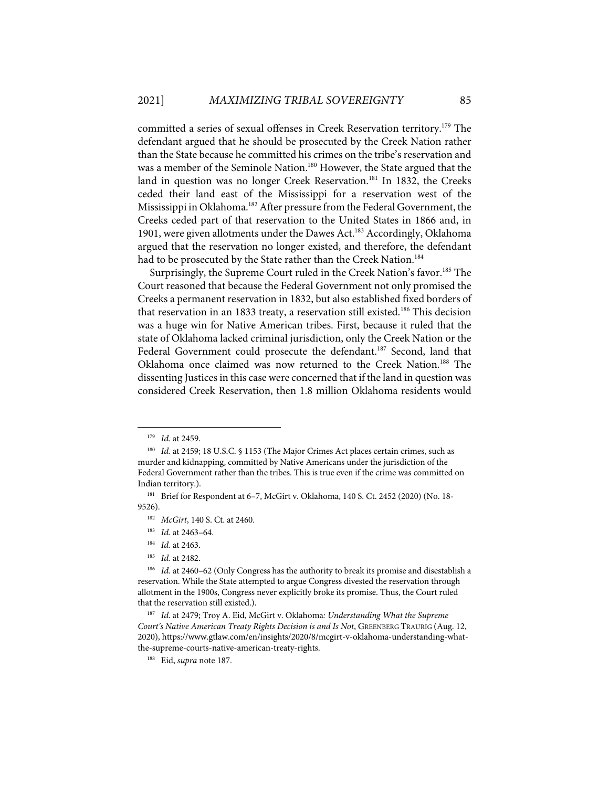committed a series of sexual offenses in Creek Reservation territory.<sup>179</sup> The defendant argued that he should be prosecuted by the Creek Nation rather than the State because he committed his crimes on the tribe's reservation and was a member of the Seminole Nation.<sup>180</sup> However, the State argued that the land in question was no longer Creek Reservation. <sup>181</sup> In 1832, the Creeks ceded their land east of the Mississippi for a reservation west of the Mississippi in Oklahoma.<sup>182</sup> After pressure from the Federal Government, the Creeks ceded part of that reservation to the United States in 1866 and, in 1901, were given allotments under the Dawes Act.<sup>183</sup> Accordingly, Oklahoma argued that the reservation no longer existed, and therefore, the defendant had to be prosecuted by the State rather than the Creek Nation.<sup>184</sup>

Surprisingly, the Supreme Court ruled in the Creek Nation's favor.<sup>185</sup> The Court reasoned that because the Federal Government not only promised the Creeks a permanent reservation in 1832, but also established fixed borders of that reservation in an 1833 treaty, a reservation still existed.<sup>186</sup> This decision was a huge win for Native American tribes. First, because it ruled that the state of Oklahoma lacked criminal jurisdiction, only the Creek Nation or the Federal Government could prosecute the defendant.<sup>187</sup> Second, land that Oklahoma once claimed was now returned to the Creek Nation.188 The dissenting Justices in this case were concerned that if the land in question was considered Creek Reservation, then 1.8 million Oklahoma residents would

<sup>179</sup> *Id.* at 2459.

<sup>180</sup> *Id.* at 2459; 18 U.S.C. § 1153 (The Major Crimes Act places certain crimes, such as murder and kidnapping, committed by Native Americans under the jurisdiction of the Federal Government rather than the tribes. This is true even if the crime was committed on Indian territory.).

<sup>181</sup> Brief for Respondent at 6–7, McGirt v. Oklahoma, 140 S. Ct. 2452 (2020) (No. 18- 9526).

<sup>182</sup> *McGirt*, 140 S. Ct. at 2460.

<sup>183</sup> *Id.* at 2463–64.

<sup>184</sup> *Id.* at 2463.

<sup>185</sup> *Id.* at 2482.

<sup>186</sup> *Id.* at 2460-62 (Only Congress has the authority to break its promise and disestablish a reservation. While the State attempted to argue Congress divested the reservation through allotment in the 1900s, Congress never explicitly broke its promise. Thus, the Court ruled that the reservation still existed.).

<sup>187</sup> *Id*. at 2479; Troy A. Eid, McGirt v. Oklahoma*: Understanding What the Supreme Court's Native American Treaty Rights Decision is and Is Not*, GREENBERG TRAURIG (Aug. 12, 2020), https://www.gtlaw.com/en/insights/2020/8/mcgirt-v-oklahoma-understanding-whatthe-supreme-courts-native-american-treaty-rights.

<sup>188</sup> Eid, *supra* note 187.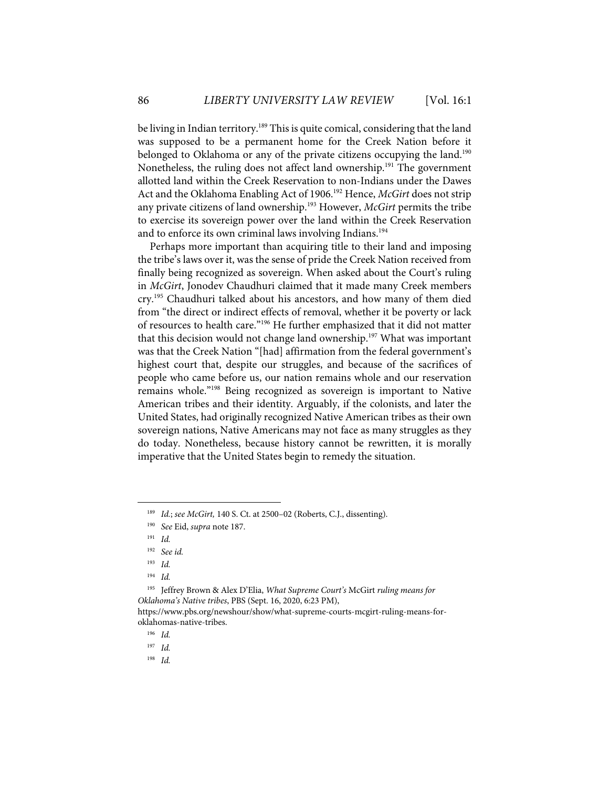be living in Indian territory.<sup>189</sup> This is quite comical, considering that the land was supposed to be a permanent home for the Creek Nation before it belonged to Oklahoma or any of the private citizens occupying the land.<sup>190</sup> Nonetheless, the ruling does not affect land ownership.<sup>191</sup> The government allotted land within the Creek Reservation to non-Indians under the Dawes Act and the Oklahoma Enabling Act of 1906.192 Hence, *McGirt* does not strip any private citizens of land ownership. <sup>193</sup> However, *McGirt* permits the tribe to exercise its sovereign power over the land within the Creek Reservation and to enforce its own criminal laws involving Indians. 194

Perhaps more important than acquiring title to their land and imposing the tribe's laws over it, was the sense of pride the Creek Nation received from finally being recognized as sovereign. When asked about the Court's ruling in *McGirt*, Jonodev Chaudhuri claimed that it made many Creek members cry.195 Chaudhuri talked about his ancestors, and how many of them died from "the direct or indirect effects of removal, whether it be poverty or lack of resources to health care."196 He further emphasized that it did not matter that this decision would not change land ownership.<sup>197</sup> What was important was that the Creek Nation "[had] affirmation from the federal government's highest court that, despite our struggles, and because of the sacrifices of people who came before us, our nation remains whole and our reservation remains whole."198 Being recognized as sovereign is important to Native American tribes and their identity. Arguably, if the colonists, and later the United States, had originally recognized Native American tribes as their own sovereign nations, Native Americans may not face as many struggles as they do today. Nonetheless, because history cannot be rewritten, it is morally imperative that the United States begin to remedy the situation.

<sup>189</sup> *Id.*; *see McGirt,* 140 S. Ct. at 2500–02 (Roberts, C.J., dissenting).

<sup>190</sup> *See* Eid, *supra* note 187.

<sup>191</sup> *Id.*

<sup>192</sup> *See id.*

<sup>193</sup> *Id.*

<sup>194</sup> *Id.*

<sup>195</sup> Jeffrey Brown & Alex D'Elia, *What Supreme Court's* McGirt *ruling means for Oklahoma's Native tribes*, PBS (Sept. 16, 2020, 6:23 PM),

https://www.pbs.org/newshour/show/what-supreme-courts-mcgirt-ruling-means-foroklahomas-native-tribes.

<sup>196</sup> *Id.*

<sup>197</sup> *Id.*

<sup>198</sup> *Id.*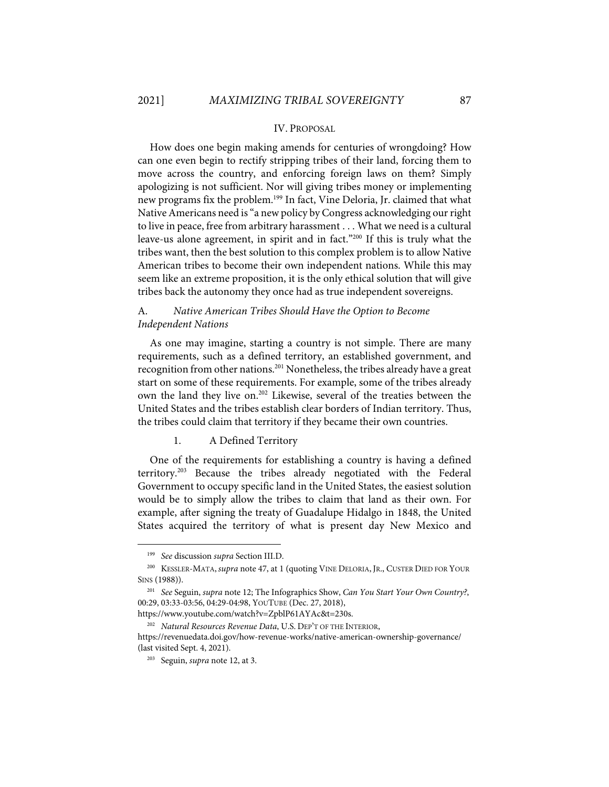#### IV. PROPOSAL

How does one begin making amends for centuries of wrongdoing? How can one even begin to rectify stripping tribes of their land, forcing them to move across the country, and enforcing foreign laws on them? Simply apologizing is not sufficient. Nor will giving tribes money or implementing new programs fix the problem.<sup>199</sup> In fact, Vine Deloria, Jr. claimed that what Native Americans need is "a new policy by Congress acknowledging our right to live in peace, free from arbitrary harassment . . . What we need is a cultural leave-us alone agreement, in spirit and in fact."200 If this is truly what the tribes want, then the best solution to this complex problem is to allow Native American tribes to become their own independent nations. While this may seem like an extreme proposition, it is the only ethical solution that will give tribes back the autonomy they once had as true independent sovereigns.

## A. *Native American Tribes Should Have the Option to Become Independent Nations*

As one may imagine, starting a country is not simple. There are many requirements, such as a defined territory, an established government, and recognition from other nations.<sup>201</sup> Nonetheless, the tribes already have a great start on some of these requirements. For example, some of the tribes already own the land they live on.<sup>202</sup> Likewise, several of the treaties between the United States and the tribes establish clear borders of Indian territory. Thus, the tribes could claim that territory if they became their own countries.

#### 1. A Defined Territory

One of the requirements for establishing a country is having a defined territory.<sup>203</sup> Because the tribes already negotiated with the Federal Government to occupy specific land in the United States, the easiest solution would be to simply allow the tribes to claim that land as their own. For example, after signing the treaty of Guadalupe Hidalgo in 1848, the United States acquired the territory of what is present day New Mexico and

<sup>199</sup> *See* discussion *supra* Section III.D.

<sup>200</sup> KESSLER-MATA, *supra* note 47, at 1 (quoting VINE DELORIA, JR., CUSTER DIED FOR YOUR SINS (1988)).

<sup>201</sup> *See* Seguin, *supra* note 12; The Infographics Show, *Can You Start Your Own Country?*, 00:29, 03:33-03:56, 04:29-04:98, YOUTUBE (Dec. 27, 2018),

https://www.youtube.com/watch?v=ZpblP61AYAc&t=230s.

<sup>202</sup> *Natural Resources Revenue Data*, U.S. DEP'T OF THE INTERIOR, https://revenuedata.doi.gov/how-revenue-works/native-american-ownership-governance/ (last visited Sept. 4, 2021).

<sup>203</sup> Seguin, *supra* note 12, at 3.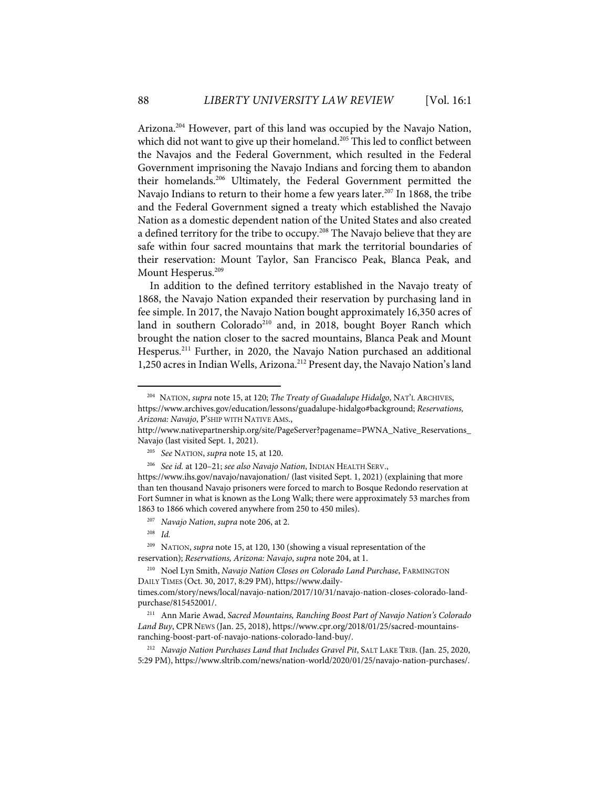Arizona.<sup>204</sup> However, part of this land was occupied by the Navajo Nation, which did not want to give up their homeland.<sup>205</sup> This led to conflict between the Navajos and the Federal Government, which resulted in the Federal Government imprisoning the Navajo Indians and forcing them to abandon their homelands.206 Ultimately, the Federal Government permitted the Navajo Indians to return to their home a few years later.<sup>207</sup> In 1868, the tribe and the Federal Government signed a treaty which established the Navajo Nation as a domestic dependent nation of the United States and also created a defined territory for the tribe to occupy.<sup>208</sup> The Navajo believe that they are safe within four sacred mountains that mark the territorial boundaries of their reservation: Mount Taylor, San Francisco Peak, Blanca Peak, and Mount Hesperus.<sup>209</sup>

In addition to the defined territory established in the Navajo treaty of 1868, the Navajo Nation expanded their reservation by purchasing land in fee simple. In 2017, the Navajo Nation bought approximately 16,350 acres of land in southern Colorado<sup>210</sup> and, in 2018, bought Boyer Ranch which brought the nation closer to the sacred mountains, Blanca Peak and Mount Hesperus.<sup>211</sup> Further, in 2020, the Navajo Nation purchased an additional 1,250 acres in Indian Wells, Arizona.<sup>212</sup> Present day, the Navajo Nation's land

<sup>209</sup> NATION, *supra* note 15, at 120, 130 (showing a visual representation of the reservation); *Reservations, Arizona: Navajo*, *supra* note 204, at 1.

<sup>204</sup> NATION, *supra* note 15, at 120; *The Treaty of Guadalupe Hidalgo*, NAT'L ARCHIVES, https://www.archives.gov/education/lessons/guadalupe-hidalgo#background; *Reservations, Arizona: Navajo*, P'SHIP WITH NATIVE AMS.,

http://www.nativepartnership.org/site/PageServer?pagename=PWNA\_Native\_Reservations\_ Navajo (last visited Sept. 1, 2021).

<sup>205</sup> *See* NATION, *supra* note 15, at 120.

<sup>206</sup> *See id.* at 120–21; *see also Navajo Nation*, INDIAN HEALTH SERV.,

https://www.ihs.gov/navajo/navajonation/ (last visited Sept. 1, 2021) (explaining that more than ten thousand Navajo prisoners were forced to march to Bosque Redondo reservation at Fort Sumner in what is known as the Long Walk; there were approximately 53 marches from 1863 to 1866 which covered anywhere from 250 to 450 miles).

<sup>207</sup> *Navajo Nation*, *supra* note 206, at 2.

<sup>208</sup> *Id.*

<sup>210</sup> Noel Lyn Smith, *Navajo Nation Closes on Colorado Land Purchase*, FARMINGTON DAILY TIMES (Oct. 30, 2017, 8:29 PM), https://www.daily-

times.com/story/news/local/navajo-nation/2017/10/31/navajo-nation-closes-colorado-landpurchase/815452001/.

<sup>211</sup> Ann Marie Awad, *Sacred Mountains, Ranching Boost Part of Navajo Nation's Colorado Land Buy*, CPR NEWS (Jan. 25, 2018), https://www.cpr.org/2018/01/25/sacred-mountainsranching-boost-part-of-navajo-nations-colorado-land-buy/.

<sup>212</sup> *Navajo Nation Purchases Land that Includes Gravel Pit*, SALT LAKE TRIB.(Jan. 25, 2020, 5:29 PM), https://www.sltrib.com/news/nation-world/2020/01/25/navajo-nation-purchases/.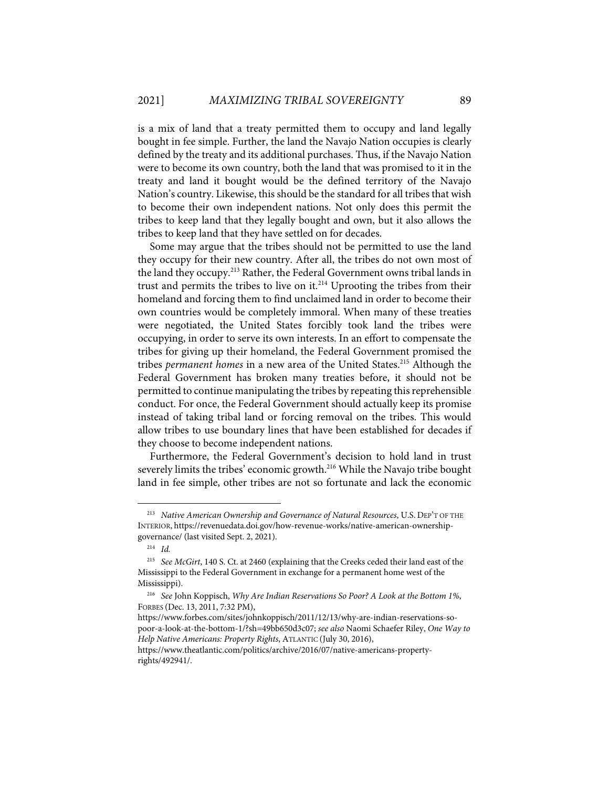is a mix of land that a treaty permitted them to occupy and land legally bought in fee simple. Further, the land the Navajo Nation occupies is clearly defined by the treaty and its additional purchases. Thus, if the Navajo Nation were to become its own country, both the land that was promised to it in the treaty and land it bought would be the defined territory of the Navajo Nation's country. Likewise, this should be the standard for all tribes that wish to become their own independent nations. Not only does this permit the tribes to keep land that they legally bought and own, but it also allows the tribes to keep land that they have settled on for decades.

Some may argue that the tribes should not be permitted to use the land they occupy for their new country. After all, the tribes do not own most of the land they occupy.<sup>213</sup> Rather, the Federal Government owns tribal lands in trust and permits the tribes to live on it.214 Uprooting the tribes from their homeland and forcing them to find unclaimed land in order to become their own countries would be completely immoral. When many of these treaties were negotiated, the United States forcibly took land the tribes were occupying, in order to serve its own interests. In an effort to compensate the tribes for giving up their homeland, the Federal Government promised the tribes *permanent homes* in a new area of the United States.<sup>215</sup> Although the Federal Government has broken many treaties before, it should not be permitted to continue manipulating the tribes by repeating this reprehensible conduct. For once, the Federal Government should actually keep its promise instead of taking tribal land or forcing removal on the tribes. This would allow tribes to use boundary lines that have been established for decades if they choose to become independent nations.

Furthermore, the Federal Government's decision to hold land in trust severely limits the tribes' economic growth.<sup>216</sup> While the Navajo tribe bought land in fee simple, other tribes are not so fortunate and lack the economic

<sup>&</sup>lt;sup>213</sup> Native American Ownership and Governance of Natural Resources, U.S. DEP'T OF THE INTERIOR, https://revenuedata.doi.gov/how-revenue-works/native-american-ownershipgovernance/ (last visited Sept. 2, 2021).

<sup>214</sup> *Id.*

<sup>215</sup> *See McGirt*, 140 S. Ct. at 2460 (explaining that the Creeks ceded their land east of the Mississippi to the Federal Government in exchange for a permanent home west of the Mississippi).

<sup>216</sup> *See* John Koppisch, *Why Are Indian Reservations So Poor? A Look at the Bottom 1%*, FORBES (Dec. 13, 2011, 7:32 PM),

https://www.forbes.com/sites/johnkoppisch/2011/12/13/why-are-indian-reservations-sopoor-a-look-at-the-bottom-1/?sh=49bb650d3c07; *see also* Naomi Schaefer Riley, *One Way to Help Native Americans: Property Rights*, ATLANTIC (July 30, 2016),

https://www.theatlantic.com/politics/archive/2016/07/native-americans-propertyrights/492941/.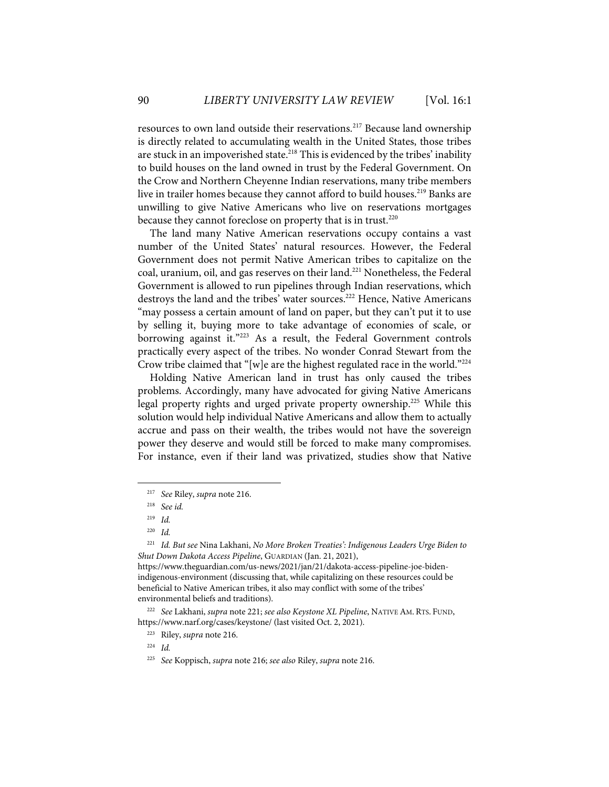resources to own land outside their reservations.217 Because land ownership is directly related to accumulating wealth in the United States, those tribes are stuck in an impoverished state.<sup>218</sup> This is evidenced by the tribes' inability to build houses on the land owned in trust by the Federal Government. On the Crow and Northern Cheyenne Indian reservations, many tribe members live in trailer homes because they cannot afford to build houses. <sup>219</sup> Banks are unwilling to give Native Americans who live on reservations mortgages because they cannot foreclose on property that is in trust.<sup>220</sup>

The land many Native American reservations occupy contains a vast number of the United States' natural resources. However, the Federal Government does not permit Native American tribes to capitalize on the coal, uranium, oil, and gas reserves on their land.<sup>221</sup> Nonetheless, the Federal Government is allowed to run pipelines through Indian reservations, which destroys the land and the tribes' water sources.<sup>222</sup> Hence, Native Americans "may possess a certain amount of land on paper, but they can't put it to use by selling it, buying more to take advantage of economies of scale, or borrowing against it."<sup>223</sup> As a result, the Federal Government controls practically every aspect of the tribes. No wonder Conrad Stewart from the Crow tribe claimed that "[w]e are the highest regulated race in the world."<sup>224</sup>

Holding Native American land in trust has only caused the tribes problems. Accordingly, many have advocated for giving Native Americans legal property rights and urged private property ownership.225 While this solution would help individual Native Americans and allow them to actually accrue and pass on their wealth, the tribes would not have the sovereign power they deserve and would still be forced to make many compromises. For instance, even if their land was privatized, studies show that Native

<sup>217</sup> *See* Riley, *supra* note 216.

<sup>218</sup> *See id.*

<sup>219</sup> *Id.*

<sup>220</sup> *Id.*

<sup>221</sup> *Id. But see* Nina Lakhani, *No More Broken Treaties': Indigenous Leaders Urge Biden to Shut Down Dakota Access Pipeline*, GUARDIAN (Jan. 21, 2021),

https://www.theguardian.com/us-news/2021/jan/21/dakota-access-pipeline-joe-bidenindigenous-environment (discussing that, while capitalizing on these resources could be beneficial to Native American tribes, it also may conflict with some of the tribes' environmental beliefs and traditions).

<sup>222</sup> *See* Lakhani, *supra* note 221; *see also Keystone XL Pipeline*, NATIVE AM. RTS. FUND, https://www.narf.org/cases/keystone/ (last visited Oct. 2, 2021).

<sup>223</sup> Riley, *supra* note 216.

<sup>224</sup> *Id.*

<sup>225</sup> *See* Koppisch, *supra* note 216; *see also* Riley, *supra* note 216.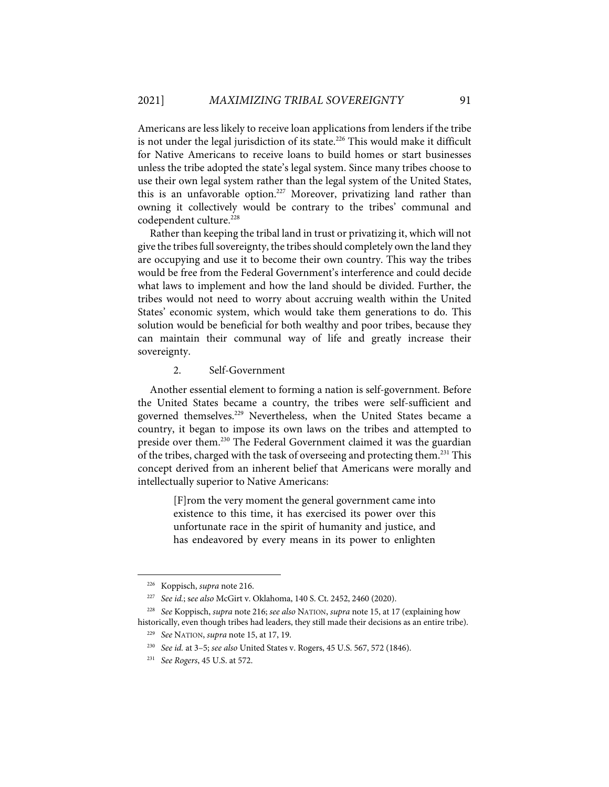Americans are less likely to receive loan applications from lenders if the tribe is not under the legal jurisdiction of its state.<sup>226</sup> This would make it difficult for Native Americans to receive loans to build homes or start businesses unless the tribe adopted the state's legal system. Since many tribes choose to use their own legal system rather than the legal system of the United States, this is an unfavorable option.<sup>227</sup> Moreover, privatizing land rather than owning it collectively would be contrary to the tribes' communal and codependent culture.<sup>228</sup>

Rather than keeping the tribal land in trust or privatizing it, which will not give the tribes full sovereignty, the tribes should completely own the land they are occupying and use it to become their own country. This way the tribes would be free from the Federal Government's interference and could decide what laws to implement and how the land should be divided. Further, the tribes would not need to worry about accruing wealth within the United States' economic system, which would take them generations to do. This solution would be beneficial for both wealthy and poor tribes, because they can maintain their communal way of life and greatly increase their sovereignty.

#### 2. Self-Government

Another essential element to forming a nation is self-government. Before the United States became a country, the tribes were self-sufficient and governed themselves.<sup>229</sup> Nevertheless, when the United States became a country, it began to impose its own laws on the tribes and attempted to preside over them.<sup>230</sup> The Federal Government claimed it was the guardian of the tribes, charged with the task of overseeing and protecting them.<sup>231</sup> This concept derived from an inherent belief that Americans were morally and intellectually superior to Native Americans:

> [F]rom the very moment the general government came into existence to this time, it has exercised its power over this unfortunate race in the spirit of humanity and justice, and has endeavored by every means in its power to enlighten

<sup>226</sup> Koppisch, *supra* note 216.

<sup>227</sup> *See id.*; s*ee also* McGirt v. Oklahoma, 140 S. Ct. 2452, 2460 (2020).

<sup>228</sup> *See* Koppisch, *supra* note 216; *see also* NATION, *supra* note 15, at 17 (explaining how historically, even though tribes had leaders, they still made their decisions as an entire tribe).

<sup>229</sup> *See* NATION, *supra* note 15, at 17, 19.

<sup>230</sup> *See id.* at 3–5; *see also* United States v. Rogers, 45 U.S. 567, 572 (1846).

<sup>231</sup> *See Rogers*, 45 U.S. at 572.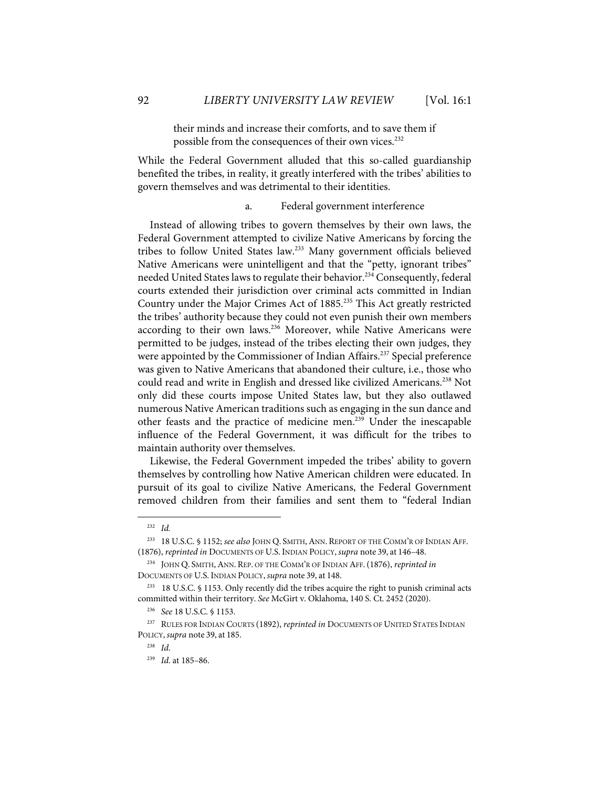their minds and increase their comforts, and to save them if possible from the consequences of their own vices.<sup>232</sup>

While the Federal Government alluded that this so-called guardianship benefited the tribes, in reality, it greatly interfered with the tribes' abilities to govern themselves and was detrimental to their identities.

a. Federal government interference

Instead of allowing tribes to govern themselves by their own laws, the Federal Government attempted to civilize Native Americans by forcing the tribes to follow United States law.233 Many government officials believed Native Americans were unintelligent and that the "petty, ignorant tribes" needed United States laws to regulate their behavior.<sup>234</sup> Consequently, federal courts extended their jurisdiction over criminal acts committed in Indian Country under the Major Crimes Act of 1885.235 This Act greatly restricted the tribes' authority because they could not even punish their own members according to their own laws.<sup>236</sup> Moreover, while Native Americans were permitted to be judges, instead of the tribes electing their own judges, they were appointed by the Commissioner of Indian Affairs.<sup>237</sup> Special preference was given to Native Americans that abandoned their culture, i.e., those who could read and write in English and dressed like civilized Americans.<sup>238</sup> Not only did these courts impose United States law, but they also outlawed numerous Native American traditions such as engaging in the sun dance and other feasts and the practice of medicine men.239 Under the inescapable influence of the Federal Government, it was difficult for the tribes to maintain authority over themselves.

Likewise, the Federal Government impeded the tribes' ability to govern themselves by controlling how Native American children were educated. In pursuit of its goal to civilize Native Americans, the Federal Government removed children from their families and sent them to "federal Indian

<sup>232</sup> *Id.*

<sup>233 18</sup> U.S.C. § 1152; *see also* JOHN Q. SMITH,ANN. REPORT OF THE COMM'R OF INDIAN AFF. (1876), *reprinted in* DOCUMENTS OF U.S. INDIAN POLICY, *supra* note 39, at 146–48.

<sup>234</sup> JOHN Q. SMITH,ANN. REP. OF THE COMM'R OF INDIAN AFF.(1876), *reprinted in*  DOCUMENTS OF U.S. INDIAN POLICY, *supra* note 39, at 148.

<sup>235 18</sup> U.S.C. § 1153. Only recently did the tribes acquire the right to punish criminal acts committed within their territory. *See* McGirt v. Oklahoma, 140 S. Ct. 2452 (2020).

<sup>236</sup> *See* 18 U.S.C. § 1153.

<sup>237</sup> RULES FOR INDIAN COURTS (1892), *reprinted in* DOCUMENTS OF UNITED STATES INDIAN POLICY, *supra* note 39, at 185.

<sup>238</sup> *Id*.

<sup>239</sup> *Id*. at 185–86.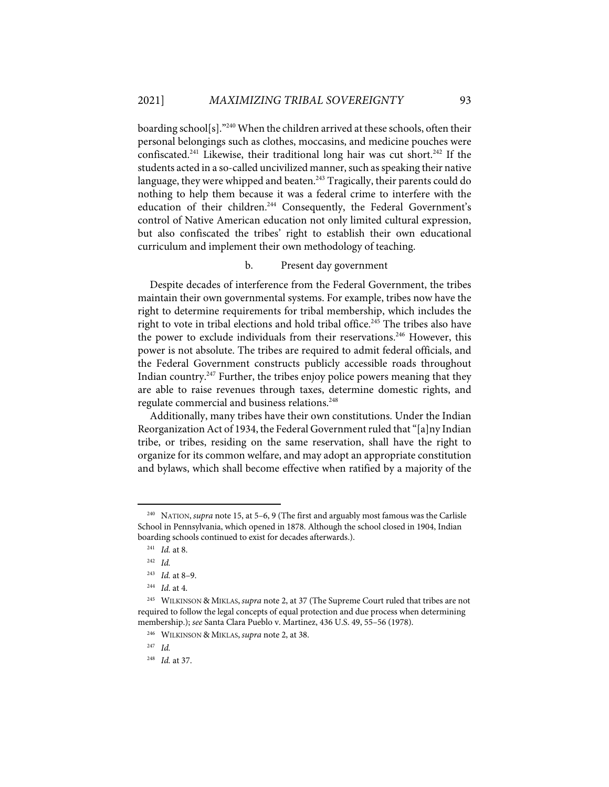boarding school[s]."240 When the children arrived at these schools, often their personal belongings such as clothes, moccasins, and medicine pouches were confiscated.<sup>241</sup> Likewise, their traditional long hair was cut short.<sup>242</sup> If the students acted in a so-called uncivilized manner, such as speaking their native language, they were whipped and beaten.<sup>243</sup> Tragically, their parents could do nothing to help them because it was a federal crime to interfere with the education of their children.<sup>244</sup> Consequently, the Federal Government's control of Native American education not only limited cultural expression, but also confiscated the tribes' right to establish their own educational curriculum and implement their own methodology of teaching.

#### b. Present day government

Despite decades of interference from the Federal Government, the tribes maintain their own governmental systems. For example, tribes now have the right to determine requirements for tribal membership, which includes the right to vote in tribal elections and hold tribal office.<sup>245</sup> The tribes also have the power to exclude individuals from their reservations.<sup>246</sup> However, this power is not absolute. The tribes are required to admit federal officials, and the Federal Government constructs publicly accessible roads throughout Indian country.<sup>247</sup> Further, the tribes enjoy police powers meaning that they are able to raise revenues through taxes, determine domestic rights, and regulate commercial and business relations.248

Additionally, many tribes have their own constitutions. Under the Indian Reorganization Act of 1934, the Federal Government ruled that "[a]ny Indian tribe, or tribes, residing on the same reservation, shall have the right to organize for its common welfare, and may adopt an appropriate constitution and bylaws, which shall become effective when ratified by a majority of the

<sup>240</sup> NATION, *supra* note 15, at 5–6, 9 (The first and arguably most famous was the Carlisle School in Pennsylvania, which opened in 1878. Although the school closed in 1904, Indian boarding schools continued to exist for decades afterwards.).

<sup>241</sup> *Id.* at 8.

<sup>242</sup> *Id.*

<sup>243</sup> *Id.* at 8–9.

<sup>244</sup> *Id*. at 4.

<sup>245</sup> WILKINSON & MIKLAS, *supra* note 2, at 37 (The Supreme Court ruled that tribes are not required to follow the legal concepts of equal protection and due process when determining membership.); *see* Santa Clara Pueblo v. Martinez, 436 U.S. 49, 55–56 (1978).

<sup>246</sup> WILKINSON & MIKLAS, *supra* note 2, at 38.

<sup>247</sup> *Id.*

<sup>248</sup> *Id.* at 37.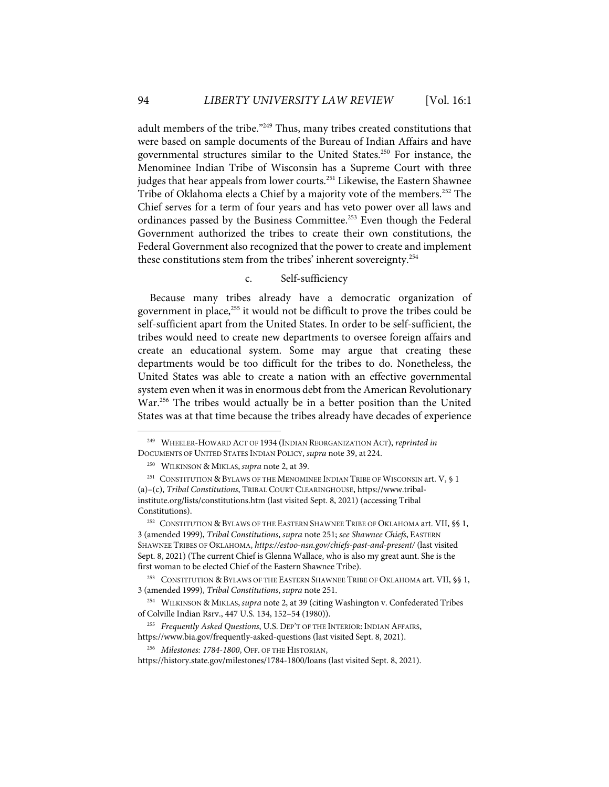adult members of the tribe."249 Thus, many tribes created constitutions that were based on sample documents of the Bureau of Indian Affairs and have governmental structures similar to the United States.<sup>250</sup> For instance, the Menominee Indian Tribe of Wisconsin has a Supreme Court with three judges that hear appeals from lower courts.<sup>251</sup> Likewise, the Eastern Shawnee Tribe of Oklahoma elects a Chief by a majority vote of the members.<sup>252</sup> The Chief serves for a term of four years and has veto power over all laws and ordinances passed by the Business Committee.<sup>253</sup> Even though the Federal Government authorized the tribes to create their own constitutions, the Federal Government also recognized that the power to create and implement these constitutions stem from the tribes' inherent sovereignty.<sup>254</sup>

## c. Self-sufficiency

Because many tribes already have a democratic organization of government in place,<sup>255</sup> it would not be difficult to prove the tribes could be self-sufficient apart from the United States. In order to be self-sufficient, the tribes would need to create new departments to oversee foreign affairs and create an educational system. Some may argue that creating these departments would be too difficult for the tribes to do. Nonetheless, the United States was able to create a nation with an effective governmental system even when it was in enormous debt from the American Revolutionary War.<sup>256</sup> The tribes would actually be in a better position than the United States was at that time because the tribes already have decades of experience

<sup>249</sup> WHEELER-HOWARD ACT OF 1934 (INDIAN REORGANIZATION ACT), *reprinted in*  DOCUMENTS OF UNITED STATES INDIAN POLICY, *supra* note 39, at 224.

<sup>250</sup> WILKINSON & MIKLAS, *supra* note 2, at 39.

<sup>&</sup>lt;sup>251</sup> CONSTITUTION & BYLAWS OF THE MENOMINEE INDIAN TRIBE OF WISCONSIN art. V, § 1 (a)–(c), *Tribal Constitutions*, TRIBAL COURT CLEARINGHOUSE, https://www.tribalinstitute.org/lists/constitutions.htm (last visited Sept. 8, 2021) (accessing Tribal Constitutions).

<sup>&</sup>lt;sup>252</sup> CONSTITUTION & BYLAWS OF THE EASTERN SHAWNEE TRIBE OF OKLAHOMA art. VII, §§ 1, 3 (amended 1999), *Tribal Constitutions*, *supra* note 251; *see Shawnee Chiefs*, EASTERN SHAWNEE TRIBES OF OKLAHOMA, *https://estoo-nsn.gov/chiefs-past-and-present/* (last visited Sept. 8, 2021) (The current Chief is Glenna Wallace, who is also my great aunt. She is the first woman to be elected Chief of the Eastern Shawnee Tribe).

<sup>&</sup>lt;sup>253</sup> CONSTITUTION & BYLAWS OF THE EASTERN SHAWNEE TRIBE OF OKLAHOMA art. VII, §§ 1, 3 (amended 1999), *Tribal Constitutions*, *supra* note 251.

<sup>254</sup> WILKINSON & MIKLAS, *supra* note 2, at 39 (citing Washington v. Confederated Tribes of Colville Indian Rsrv., 447 U.S. 134, 152–54 (1980)).

<sup>255</sup> *Frequently Asked Questions*, U.S. DEP'T OF THE INTERIOR: INDIAN AFFAIRS, https://www.bia.gov/frequently-asked-questions (last visited Sept. 8, 2021).

<sup>256</sup> *Milestones: 1784-1800*, OFF. OF THE HISTORIAN,

https://history.state.gov/milestones/1784-1800/loans (last visited Sept. 8, 2021).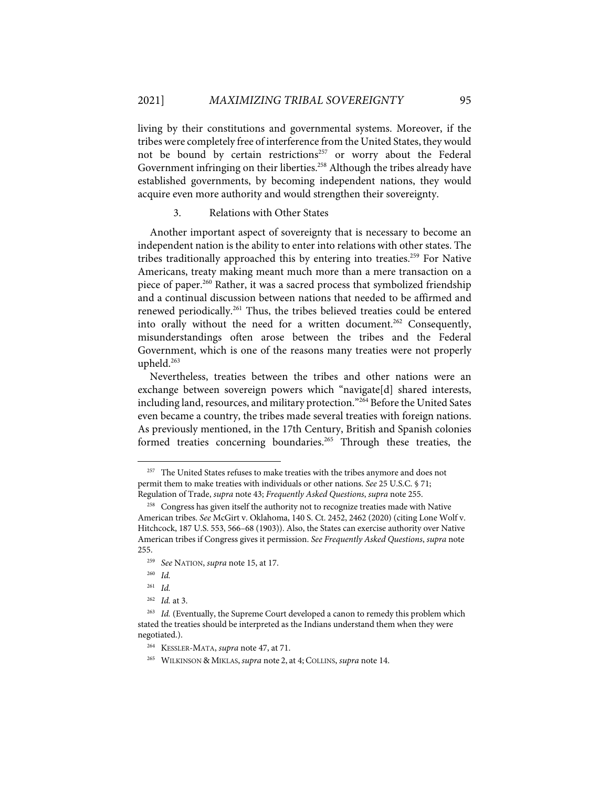living by their constitutions and governmental systems. Moreover, if the tribes were completely free of interference from the United States, they would not be bound by certain restrictions<sup>257</sup> or worry about the Federal Government infringing on their liberties.<sup>258</sup> Although the tribes already have established governments, by becoming independent nations, they would acquire even more authority and would strengthen their sovereignty.

#### 3. Relations with Other States

Another important aspect of sovereignty that is necessary to become an independent nation is the ability to enter into relations with other states. The tribes traditionally approached this by entering into treaties.<sup>259</sup> For Native Americans, treaty making meant much more than a mere transaction on a piece of paper.<sup>260</sup> Rather, it was a sacred process that symbolized friendship and a continual discussion between nations that needed to be affirmed and renewed periodically.<sup>261</sup> Thus, the tribes believed treaties could be entered into orally without the need for a written document.<sup>262</sup> Consequently, misunderstandings often arose between the tribes and the Federal Government, which is one of the reasons many treaties were not properly upheld.<sup>263</sup>

Nevertheless, treaties between the tribes and other nations were an exchange between sovereign powers which "navigate[d] shared interests, including land, resources, and military protection."264 Before the United Sates even became a country, the tribes made several treaties with foreign nations. As previously mentioned, in the 17th Century, British and Spanish colonies formed treaties concerning boundaries.<sup>265</sup> Through these treaties, the

<sup>&</sup>lt;sup>257</sup> The United States refuses to make treaties with the tribes anymore and does not permit them to make treaties with individuals or other nations. *See* 25 U.S.C. § 71; Regulation of Trade, *supra* note 43; *Frequently Asked Questions*, *supra* note 255.

<sup>&</sup>lt;sup>258</sup> Congress has given itself the authority not to recognize treaties made with Native American tribes. *See* McGirt v. Oklahoma, 140 S. Ct. 2452, 2462 (2020) (citing Lone Wolf v. Hitchcock, 187 U.S. 553, 566–68 (1903)). Also, the States can exercise authority over Native American tribes if Congress gives it permission. *See Frequently Asked Questions*, *supra* note 255.

<sup>259</sup> *See* NATION, *supra* note 15, at 17.

<sup>260</sup> *Id.*

<sup>261</sup> *Id.*

<sup>262</sup> *Id.* at 3.

<sup>&</sup>lt;sup>263</sup> *Id.* (Eventually, the Supreme Court developed a canon to remedy this problem which stated the treaties should be interpreted as the Indians understand them when they were negotiated.).

<sup>264</sup> KESSLER-MATA, *supra* note 47, at 71.

<sup>265</sup> WILKINSON & MIKLAS, *supra* note 2, at 4; COLLINS, *supra* note 14.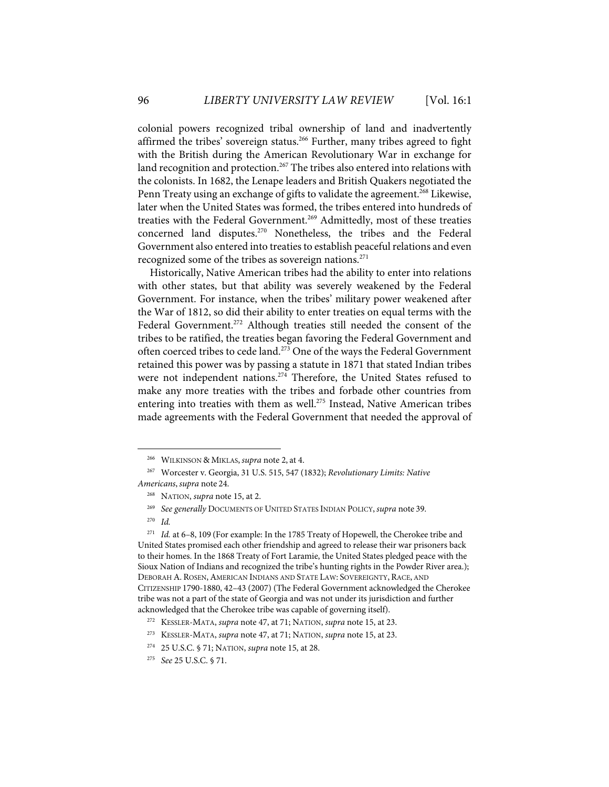colonial powers recognized tribal ownership of land and inadvertently affirmed the tribes' sovereign status.<sup>266</sup> Further, many tribes agreed to fight with the British during the American Revolutionary War in exchange for land recognition and protection.<sup>267</sup> The tribes also entered into relations with the colonists. In 1682, the Lenape leaders and British Quakers negotiated the Penn Treaty using an exchange of gifts to validate the agreement.<sup>268</sup> Likewise, later when the United States was formed, the tribes entered into hundreds of treaties with the Federal Government.<sup>269</sup> Admittedly, most of these treaties concerned land disputes.<sup>270</sup> Nonetheless, the tribes and the Federal Government also entered into treaties to establish peaceful relations and even recognized some of the tribes as sovereign nations.<sup>271</sup>

Historically, Native American tribes had the ability to enter into relations with other states, but that ability was severely weakened by the Federal Government. For instance, when the tribes' military power weakened after the War of 1812, so did their ability to enter treaties on equal terms with the Federal Government.<sup>272</sup> Although treaties still needed the consent of the tribes to be ratified, the treaties began favoring the Federal Government and often coerced tribes to cede land.<sup>273</sup> One of the ways the Federal Government retained this power was by passing a statute in 1871 that stated Indian tribes were not independent nations.<sup>274</sup> Therefore, the United States refused to make any more treaties with the tribes and forbade other countries from entering into treaties with them as well.<sup>275</sup> Instead, Native American tribes made agreements with the Federal Government that needed the approval of

<sup>266</sup> WILKINSON & MIKLAS, *supra* note 2, at 4.

<sup>267</sup> Worcester v. Georgia, 31 U.S. 515, 547 (1832); *Revolutionary Limits: Native Americans*, *supra* note 24.

<sup>268</sup> NATION, *supra* note 15, at 2.

<sup>269</sup> *See generally* DOCUMENTS OF UNITED STATES INDIAN POLICY, *supra* note 39.

<sup>270</sup> *Id.*

<sup>271</sup> *Id.* at 6–8, 109 (For example: In the 1785 Treaty of Hopewell, the Cherokee tribe and United States promised each other friendship and agreed to release their war prisoners back to their homes. In the 1868 Treaty of Fort Laramie, the United States pledged peace with the Sioux Nation of Indians and recognized the tribe's hunting rights in the Powder River area.); DEBORAH A. ROSEN, AMERICAN INDIANS AND STATE LAW: SOVEREIGNTY, RACE, AND CITIZENSHIP 1790-1880, 42–43 (2007) (The Federal Government acknowledged the Cherokee tribe was not a part of the state of Georgia and was not under its jurisdiction and further acknowledged that the Cherokee tribe was capable of governing itself).

<sup>272</sup> KESSLER-MATA, *supra* note 47, at 71; NATION, *supra* note 15, at 23.

<sup>273</sup> KESSLER-MATA, *supra* note 47, at 71; NATION, *supra* note 15, at 23.

<sup>274 25</sup> U.S.C. § 71; NATION, *supra* note 15, at 28.

<sup>275</sup> *See* 25 U.S.C. § 71.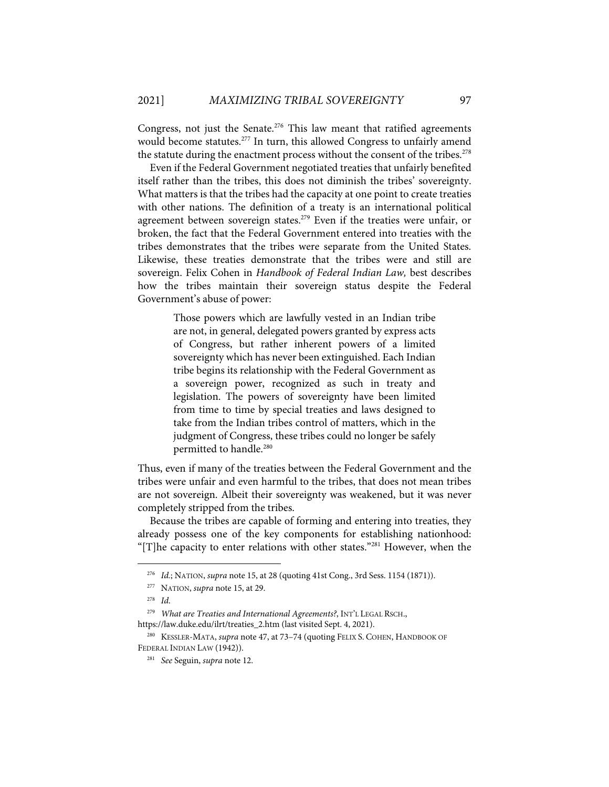Congress, not just the Senate.<sup>276</sup> This law meant that ratified agreements would become statutes.<sup>277</sup> In turn, this allowed Congress to unfairly amend the statute during the enactment process without the consent of the tribes.<sup>278</sup>

Even if the Federal Government negotiated treaties that unfairly benefited itself rather than the tribes, this does not diminish the tribes' sovereignty. What matters is that the tribes had the capacity at one point to create treaties with other nations. The definition of a treaty is an international political agreement between sovereign states.<sup>279</sup> Even if the treaties were unfair, or broken, the fact that the Federal Government entered into treaties with the tribes demonstrates that the tribes were separate from the United States. Likewise, these treaties demonstrate that the tribes were and still are sovereign. Felix Cohen in *Handbook of Federal Indian Law,* best describes how the tribes maintain their sovereign status despite the Federal Government's abuse of power:

> Those powers which are lawfully vested in an Indian tribe are not, in general, delegated powers granted by express acts of Congress, but rather inherent powers of a limited sovereignty which has never been extinguished. Each Indian tribe begins its relationship with the Federal Government as a sovereign power, recognized as such in treaty and legislation. The powers of sovereignty have been limited from time to time by special treaties and laws designed to take from the Indian tribes control of matters, which in the judgment of Congress, these tribes could no longer be safely permitted to handle.<sup>280</sup>

Thus, even if many of the treaties between the Federal Government and the tribes were unfair and even harmful to the tribes, that does not mean tribes are not sovereign. Albeit their sovereignty was weakened, but it was never completely stripped from the tribes.

Because the tribes are capable of forming and entering into treaties, they already possess one of the key components for establishing nationhood: "[T]he capacity to enter relations with other states."<sup>281</sup> However, when the

<sup>276</sup> *Id.*; NATION, *supra* note 15, at 28 (quoting 41st Cong., 3rd Sess. 1154 (1871)).

<sup>277</sup> NATION, *supra* note 15, at 29.

<sup>278</sup> *Id*.

<sup>279</sup> *What are Treaties and International Agreements?*, INT'L LEGAL RSCH.,

https://law.duke.edu/ilrt/treaties\_2.htm (last visited Sept. 4, 2021).

<sup>280</sup> KESSLER-MATA, *supra* note 47, at 73–74 (quoting FELIX S. COHEN, HANDBOOK OF FEDERAL INDIAN LAW (1942)).

<sup>281</sup> *See* Seguin, *supra* note 12.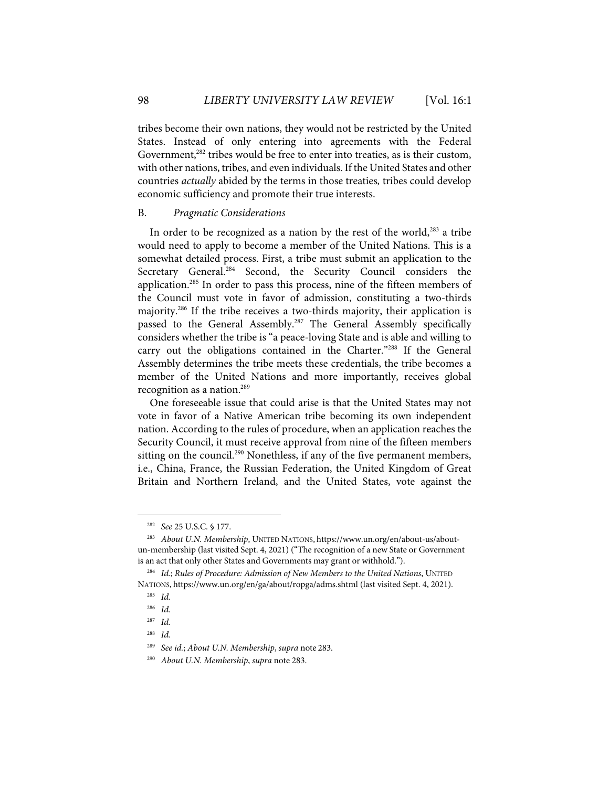tribes become their own nations, they would not be restricted by the United States. Instead of only entering into agreements with the Federal Government,<sup>282</sup> tribes would be free to enter into treaties, as is their custom, with other nations, tribes, and even individuals. If the United States and other countries *actually* abided by the terms in those treaties*,* tribes could develop economic sufficiency and promote their true interests.

#### B. *Pragmatic Considerations*

In order to be recognized as a nation by the rest of the world, $283$  a tribe would need to apply to become a member of the United Nations. This is a somewhat detailed process. First, a tribe must submit an application to the Secretary General.<sup>284</sup> Second, the Security Council considers the application.<sup>285</sup> In order to pass this process, nine of the fifteen members of the Council must vote in favor of admission, constituting a two-thirds majority.286 If the tribe receives a two-thirds majority, their application is passed to the General Assembly.<sup>287</sup> The General Assembly specifically considers whether the tribe is "a peace-loving State and is able and willing to carry out the obligations contained in the Charter."<sup>288</sup> If the General Assembly determines the tribe meets these credentials, the tribe becomes a member of the United Nations and more importantly, receives global recognition as a nation. 289

One foreseeable issue that could arise is that the United States may not vote in favor of a Native American tribe becoming its own independent nation. According to the rules of procedure, when an application reaches the Security Council, it must receive approval from nine of the fifteen members sitting on the council.<sup>290</sup> Nonethless, if any of the five permanent members, i.e., China, France, the Russian Federation, the United Kingdom of Great Britain and Northern Ireland, and the United States, vote against the

<sup>282</sup> *See* 25 U.S.C. § 177.

<sup>283</sup> *About U.N. Membership*, UNITED NATIONS, https://www.un.org/en/about-us/aboutun-membership (last visited Sept. 4, 2021) ("The recognition of a new State or Government is an act that only other States and Governments may grant or withhold.").

<sup>284</sup> *Id.*; *Rules of Procedure: Admission of New Members to the United Nations*, UNITED NATIONS, https://www.un.org/en/ga/about/ropga/adms.shtml (last visited Sept. 4, 2021).

<sup>285</sup> *Id.*

<sup>286</sup> *Id.*

<sup>287</sup> *Id.*

<sup>288</sup> *Id.*

<sup>289</sup> *See id.*; *About U.N. Membership*, *supra* note 283.

<sup>290</sup> *About U.N. Membership*, *supra* note 283.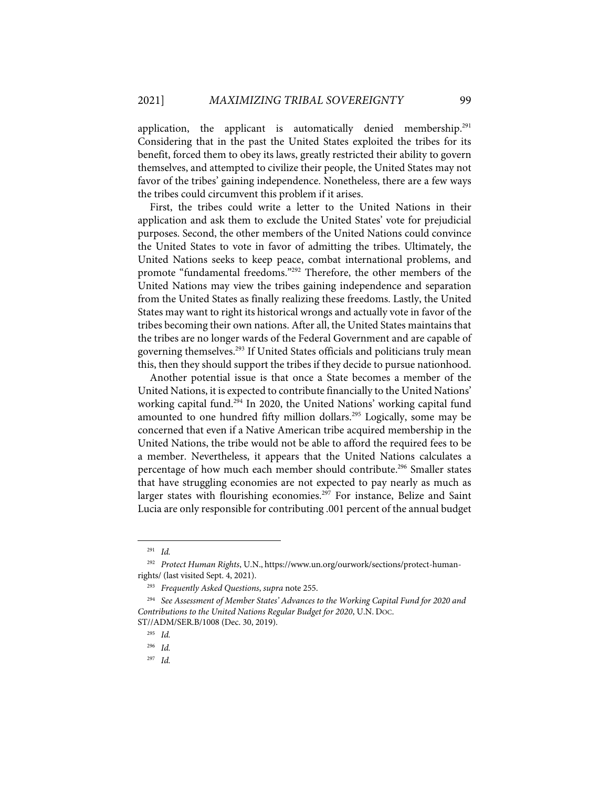application, the applicant is automatically denied membership.<sup>291</sup> Considering that in the past the United States exploited the tribes for its benefit, forced them to obey its laws, greatly restricted their ability to govern themselves, and attempted to civilize their people, the United States may not favor of the tribes' gaining independence. Nonetheless, there are a few ways the tribes could circumvent this problem if it arises.

First, the tribes could write a letter to the United Nations in their application and ask them to exclude the United States' vote for prejudicial purposes. Second, the other members of the United Nations could convince the United States to vote in favor of admitting the tribes. Ultimately, the United Nations seeks to keep peace, combat international problems, and promote "fundamental freedoms."292 Therefore, the other members of the United Nations may view the tribes gaining independence and separation from the United States as finally realizing these freedoms. Lastly, the United States may want to right its historical wrongs and actually vote in favor of the tribes becoming their own nations. After all, the United States maintains that the tribes are no longer wards of the Federal Government and are capable of governing themselves.<sup>293</sup> If United States officials and politicians truly mean this, then they should support the tribes if they decide to pursue nationhood.

Another potential issue is that once a State becomes a member of the United Nations, it is expected to contribute financially to the United Nations' working capital fund.<sup>294</sup> In 2020, the United Nations' working capital fund amounted to one hundred fifty million dollars.<sup>295</sup> Logically, some may be concerned that even if a Native American tribe acquired membership in the United Nations, the tribe would not be able to afford the required fees to be a member. Nevertheless, it appears that the United Nations calculates a percentage of how much each member should contribute.<sup>296</sup> Smaller states that have struggling economies are not expected to pay nearly as much as larger states with flourishing economies.<sup>297</sup> For instance, Belize and Saint Lucia are only responsible for contributing .001 percent of the annual budget

<sup>291</sup> *Id.*

<sup>292</sup> *Protect Human Rights*, U.N., https://www.un.org/ourwork/sections/protect-humanrights/ (last visited Sept. 4, 2021).

<sup>293</sup> *Frequently Asked Questions*, *supra* note 255.

<sup>294</sup> *See Assessment of Member States' Advances to the Working Capital Fund for 2020 and Contributions to the United Nations Regular Budget for 2020*, U.N. DOC.

ST//ADM/SER.B/1008 (Dec. 30, 2019).

<sup>295</sup> *Id.*

<sup>296</sup> *Id.*

<sup>297</sup> *Id.*